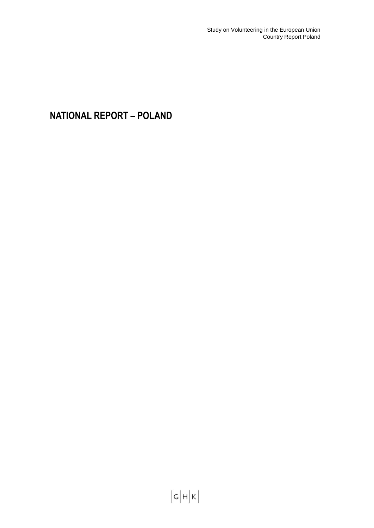Study on Volunteering in the European Union Country Report Poland

**NATIONAL REPORT – POLAND**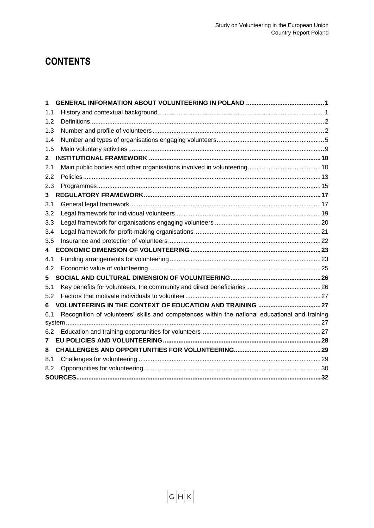# **CONTENTS**

| 1            |                                                                                                |  |
|--------------|------------------------------------------------------------------------------------------------|--|
| 1.1          |                                                                                                |  |
| 1.2          |                                                                                                |  |
| 1.3          |                                                                                                |  |
| 1.4          |                                                                                                |  |
| 1.5          |                                                                                                |  |
| $\mathbf{2}$ |                                                                                                |  |
| 2.1          |                                                                                                |  |
| 2.2          |                                                                                                |  |
| 2.3          |                                                                                                |  |
| 3            |                                                                                                |  |
| 3.1          |                                                                                                |  |
| 3.2          |                                                                                                |  |
| 3.3          |                                                                                                |  |
| 3.4          |                                                                                                |  |
| 3.5          |                                                                                                |  |
| 4            |                                                                                                |  |
| 4.1          |                                                                                                |  |
| 4.2          |                                                                                                |  |
| 5.           |                                                                                                |  |
| 5.1          |                                                                                                |  |
| 5.2          |                                                                                                |  |
| 6            |                                                                                                |  |
| 6.1          | Recognition of volunteers' skills and competences within the national educational and training |  |
|              |                                                                                                |  |
| 6.2          |                                                                                                |  |
| 7            |                                                                                                |  |
| 8            |                                                                                                |  |
| 8.1          |                                                                                                |  |
| 8.2          |                                                                                                |  |
|              |                                                                                                |  |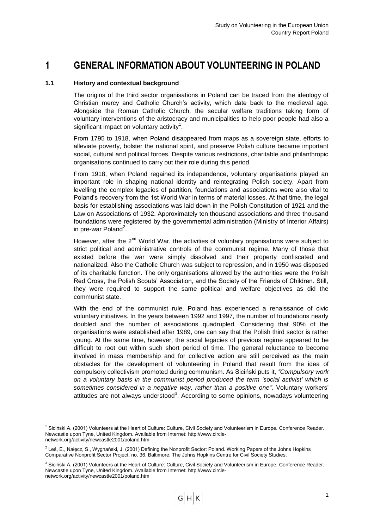## <span id="page-2-0"></span>**1 GENERAL INFORMATION ABOUT VOLUNTEERING IN POLAND**

## <span id="page-2-1"></span>**1.1 History and contextual background**

-

The origins of the third sector organisations in Poland can be traced from the ideology of Christian mercy and Catholic Church"s activity, which date back to the medieval age. Alongside the Roman Catholic Church, the secular welfare traditions taking form of voluntary interventions of the aristocracy and municipalities to help poor people had also a significant impact on voluntary activity $1$ .

From 1795 to 1918, when Poland disappeared from maps as a sovereign state, efforts to alleviate poverty, bolster the national spirit, and preserve Polish culture became important social, cultural and political forces. Despite various restrictions, charitable and philanthropic organisations continued to carry out their role during this period.

From 1918, when Poland regained its independence, voluntary organisations played an important role in shaping national identity and reintegrating Polish society. Apart from levelling the complex legacies of partition, foundations and associations were also vital to Poland"s recovery from the 1st World War in terms of material losses. At that time, the legal basis for establishing associations was laid down in the Polish Constitution of 1921 and the Law on Associations of 1932. Approximately ten thousand associations and three thousand foundations were registered by the governmental administration (Ministry of Interior Affairs) in pre-war Poland<sup>2</sup>.

However, after the 2<sup>nd</sup> World War, the activities of voluntary organisations were subject to strict political and administrative controls of the communist regime. Many of those that existed before the war were simply dissolved and their property confiscated and nationalized. Also the Catholic Church was subject to repression, and in 1950 was disposed of its charitable function. The only organisations allowed by the authorities were the Polish Red Cross, the Polish Scouts" Association, and the Society of the Friends of Children. Still, they were required to support the same political and welfare objectives as did the communist state.

With the end of the communist rule, Poland has experienced a renaissance of civic voluntary initiatives. In the years between 1992 and 1997, the number of foundations nearly doubled and the number of associations quadrupled. Considering that 90% of the organisations were established after 1989, one can say that the Polish third sector is rather young. At the same time, however, the social legacies of previous regime appeared to be difficult to root out within such short period of time. The general reluctance to become involved in mass membership and for collective action are still perceived as the main obstacles for the development of volunteering in Poland that result from the idea of compulsory collectivism promoted during communism. As Siciński puts it, *"Compulsory work on a voluntary basis in the communist period produced the term 'social activist' which is sometimes considered in a negative way, rather than a positive one"*. Voluntary workers" attitudes are not always understood<sup>3</sup>. According to some opinions, nowadays volunteering

<sup>1</sup> Siciński A. (2001) Volunteers at the Heart of Culture: Culture, Civil Society and Volunteerism in Europe. Conference Reader. Newcastle upon Tyne, United Kingdom. Available from Internet: http://www.circlenetwork.org/activity/newcastle2001/poland.htm

<sup>&</sup>lt;sup>2</sup> Leś, E., Nałęcz, S., Wygnański, J. (2001) Defining the Nonprofit Sector: Poland. Working Papers of the Johns Hopkins Comparative Nonprofit Sector Project, no. 36. Baltimore: The Johns Hopkins Centre for Civil Society Studies.

<sup>&</sup>lt;sup>3</sup> Siciński A. (2001) Volunteers at the Heart of Culture: Culture, Civil Society and Volunteerism in Europe. Conference Reader. Newcastle upon Tyne, United Kingdom. Available from Internet: http://www.circlenetwork.org/activity/newcastle2001/poland.htm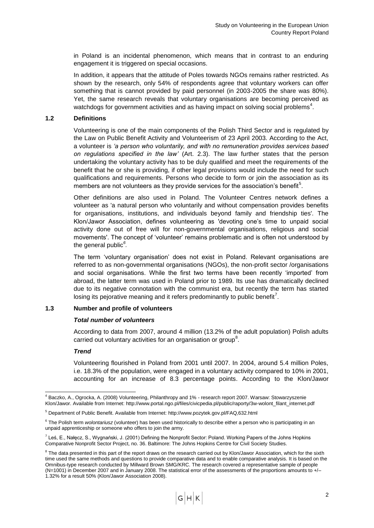in Poland is an incidental phenomenon, which means that in contrast to an enduring engagement it is triggered on special occasions.

In addition, it appears that the attitude of Poles towards NGOs remains rather restricted. As shown by the research, only 54% of respondents agree that voluntary workers can offer something that is cannot provided by paid personnel (in 2003-2005 the share was 80%). Yet, the same research reveals that voluntary organisations are becoming perceived as watchdogs for government activities and as having impact on solving social problems<sup>4</sup>.

## <span id="page-3-0"></span>**1.2 Definitions**

Volunteering is one of the main components of the Polish Third Sector and is regulated by the Law on Public Benefit Activity and Volunteerism of 23 April 2003. According to the Act, a volunteer is *"a person who voluntarily, and with no remuneration provides services based on regulations specified in the law"* (Art. 2.3). The law further states that the person undertaking the voluntary activity has to be duly qualified and meet the requirements of the benefit that he or she is providing, if other legal provisions would include the need for such qualifications and requirements. Persons who decide to form or join the association as its members are not volunteers as they provide services for the association's benefit<sup>5</sup>.

Other definitions are also used in Poland. The Volunteer Centres network defines a volunteer as 'a natural person who voluntarily and without compensation provides benefits for organisations, institutions, and individuals beyond family and friendship ties'. The Klon/Jawor Association, defines volunteering as 'devoting one"s time to unpaid social activity done out of free will for non-governmental organisations, religious and social movements'. The concept of "volunteer" remains problematic and is often not understood by the general public*<sup>6</sup> .*

The term "voluntary organisation" does not exist in Poland. Relevant organisations are referred to as non-governmental organisations (NGOs), the non-profit sector /organisations and social organisations. While the first two terms have been recently "imported" from abroad, the latter term was used in Poland prior to 1989. Its use has dramatically declined due to its negative connotation with the communist era, but recently the term has started losing its pejorative meaning and it refers predominantly to public benefit<sup>7</sup>.

### <span id="page-3-1"></span>**1.3 Number and profile of volunteers**

## *Total number of volunteers*

According to data from 2007, around 4 million (13.2% of the adult population) Polish adults carried out voluntary activities for an organisation or group<sup>8</sup>.

### *Trend*

-

Volunteering flourished in Poland from 2001 until 2007. In 2004, around 5.4 million Poles, i.e. 18.3% of the population, were engaged in a voluntary activity compared to 10% in 2001, accounting for an increase of 8.3 percentage points. According to the Klon/Jawor

<sup>4</sup> Baczko, A., Ogrocka, A. (2008) Volunteering, Philanthropy and 1% - [research report 2007. Warsaw: Stowarzyszenie](http://209.85.229.132/translate_c?hl=en&sl=pl&u=http://www.portal.ngo.pl/files/civicpedia.pl/public/raporty/3w-wolont_filant_internet.pdf&prev=/search%3Fq%3Dhttp://civicpedia.ngo.pl/x/322225%253Bjsessionid%253DF77C7100AA40A95249E018C2A0CFF732%26hl%3Den%26sa%3DG&usg=ALkJrhgECt5NnBh43lLiCzV3KingG9iPxg)  [Klon/Jawor.](http://209.85.229.132/translate_c?hl=en&sl=pl&u=http://www.portal.ngo.pl/files/civicpedia.pl/public/raporty/3w-wolont_filant_internet.pdf&prev=/search%3Fq%3Dhttp://civicpedia.ngo.pl/x/322225%253Bjsessionid%253DF77C7100AA40A95249E018C2A0CFF732%26hl%3Den%26sa%3DG&usg=ALkJrhgECt5NnBh43lLiCzV3KingG9iPxg) Available from Internet: http://www.portal.ngo.pl/files/civicpedia.pl/public/raporty/3w-wolont\_filant\_internet.pdf

<sup>5</sup> Department of Public Benefit. Available from Internet: http://www.pozytek.gov.pl/FAQ,632.html

<sup>&</sup>lt;sup>6</sup> The Polish term *wolontariusz* (volunteer) has been used historically to describe either a person who is participating in an unpaid apprenticeship or someone who offers to join the army.

<sup>&</sup>lt;sup>7</sup> Leś, E., Nałęcz, S., Wygnański, J. (2001) Defining the Nonprofit Sector: Poland. Working Papers of the Johns Hopkins Comparative Nonprofit Sector Project, no. 36. Baltimore: The Johns Hopkins Centre for Civil Society Studies.

<sup>&</sup>lt;sup>8</sup> The data presented in this part of the report draws on the research carried out by Klon/Jawor Association, which for the sixth time used the same methods and questions to provide comparative data and to enable comparative analysis. It is based on the Omnibus-type research conducted by Millward Brown SMG/KRC. The research covered a representative sample of people  $(N=1001)$  in December 2007 and in January 2008. The statistical error of the assessments of the proportions amounts to  $+/-$ 1.32% for a result 50% (Klon/Jawor Association 2008).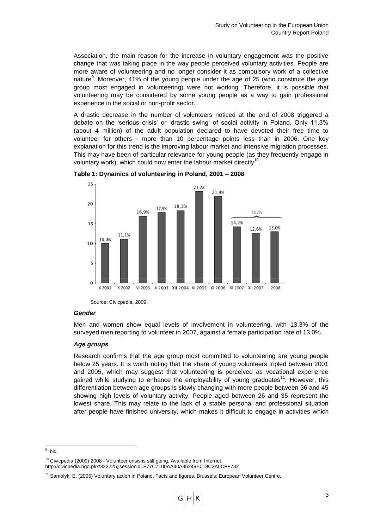Association, the main reason for the increase in voluntary engagement was the positive change that was taking place in the way people perceived voluntary activities. People are more aware of volunteering and no longer consider it as compulsory work of a collective nature $9$ . Moreover, 41% of the young people under the age of 25 (who constitute the age group most engaged in volunteering) were not working. Therefore, it is possible that volunteering may be considered by some young people as a way to gain professional experience in the social or non-profit sector.

A drastic decrease in the number of volunteers noticed at the end of 2008 triggered a debate on the "serious crisis" or "drastic swing" of social activity in Poland. Only 11.3% (about 4 million) of the adult population declared to have devoted their free time to volunteer for others - more than 10 percentage points less than in 2006. One key explanation for this trend is the improving labour market and intensive migration processes. This may have been of particular relevance for young people (as they frequently engage in voluntary work), which could now enter the labour market directly<sup>10</sup>.





Source: Civicpedia, 2009.

### *Gender*

Men and women show equal levels of involvement in volunteering, with 13.3% of the surveyed men reporting to volunteer in 2007, against a female participation rate of 13.0%.

### *Age groups*

Research confirms that the age group most committed to volunteering are young people below 25 years. It is worth noting that the share of young volunteers tripled between 2001 and 2005, which may suggest that volunteering is perceived as vocational experience gained while studying to enhance the employability of young graduates<sup>11</sup>. However, this differentiation between age groups is slowly changing with more people between 36 and 45 showing high levels of voluntary activity. People aged between 26 and 35 represent the lowest share. This may relate to the lack of a stable personal and professional situation after people have finished university, which makes it difficult to engage in activities which

<sup>&</sup>lt;sup>9</sup> Ibid.

 $10$  Civicpedia (2009) 2008 - Volunteer crisis is still going. Available from Internet: http://civicpedia.ngo.pl/x/322225;jsessionid=F77C7100AA40A95249E018C2A0CFF732

<sup>&</sup>lt;sup>11</sup> Samolyk, E. (2005) Voluntary action in Poland. Facts and figures. Brussels: European Volunteer Centre.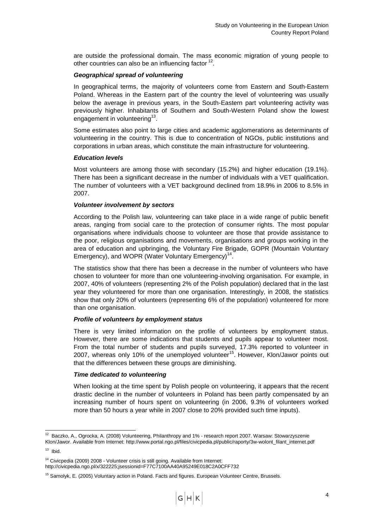are outside the professional domain. The mass economic migration of young people to other countries can also be an influencing factor  $12$ .

## *Geographical spread of volunteering*

In geographical terms, the majority of volunteers come from Eastern and South-Eastern Poland. Whereas in the Eastern part of the country the level of volunteering was usually below the average in previous years, in the South-Eastern part volunteering activity was previously higher. Inhabitants of Southern and South-Western Poland show the lowest engagement in volunteering $^{13}$ .

Some estimates also point to large cities and academic agglomerations as determinants of volunteering in the country. This is due to concentration of NGOs, public institutions and corporations in urban areas, which constitute the main infrastructure for volunteering.

### *Education levels*

Most volunteers are among those with secondary (15.2%) and higher education (19.1%). There has been a significant decrease in the number of individuals with a VET qualification. The number of volunteers with a VET background declined from 18.9% in 2006 to 8.5% in 2007.

## *Volunteer involvement by sectors*

According to the Polish law, volunteering can take place in a wide range of public benefit areas, ranging from social care to the protection of consumer rights. The most popular organisations where individuals choose to volunteer are those that provide assistance to the poor, religious organisations and movements, organisations and groups working in the area of education and upbringing, the Voluntary Fire Brigade, GOPR (Mountain Voluntary Emergency), and WOPR (Water Voluntary Emergency)<sup>14</sup>.

The statistics show that there has been a decrease in the number of volunteers who have chosen to volunteer for more than one volunteering-involving organisation. For example, in 2007, 40% of volunteers (representing 2% of the Polish population) declared that in the last year they volunteered for more than one organisation. Interestingly, in 2008, the statistics show that only 20% of volunteers (representing 6% of the population) volunteered for more than one organisation.

### *Profile of volunteers by employment status*

There is very limited information on the profile of volunteers by employment status. However, there are some indications that students and pupils appear to volunteer most. From the total number of students and pupils surveyed, 17.3% reported to volunteer in 2007, whereas only 10% of the unemployed volunteer<sup>15</sup>. However, Klon/Jawor points out that the differences between these groups are diminishing.

### *Time dedicated to volunteering*

When looking at the time spent by Polish people on volunteering, it appears that the recent drastic decline in the number of volunteers in Poland has been partly compensated by an increasing number of hours spent on volunteering (in 2006, 9.3% of volunteers worked more than 50 hours a year while in 2007 close to 20% provided such time inputs).

-

<sup>14</sup> Civicpedia (2009) 2008 - Volunteer crisis is still going. Available from Internet: http://civicpedia.ngo.pl/x/322225;jsessionid=F77C7100AA40A95249E018C2A0CFF732

 $12$  Baczko, A., Ogrocka, A. (2008) Volunteering, Philanthropy and 1% - research report 2007. Warsaw: Stowarzyszenie [Klon/Jawor.](http://209.85.229.132/translate_c?hl=en&sl=pl&u=http://www.portal.ngo.pl/files/civicpedia.pl/public/raporty/3w-wolont_filant_internet.pdf&prev=/search%3Fq%3Dhttp://civicpedia.ngo.pl/x/322225%253Bjsessionid%253DF77C7100AA40A95249E018C2A0CFF732%26hl%3Den%26sa%3DG&usg=ALkJrhgECt5NnBh43lLiCzV3KingG9iPxg) Available from Internet: http://www.portal.ngo.pl/files/civicpedia.pl/public/raporty/3w-wolont\_filant\_internet.pdf

 $13$  Ibid.

<sup>&</sup>lt;sup>15</sup> Samolyk, E. (2005) Voluntary action in Poland. Facts and figures. European Volunteer Centre, Brussels.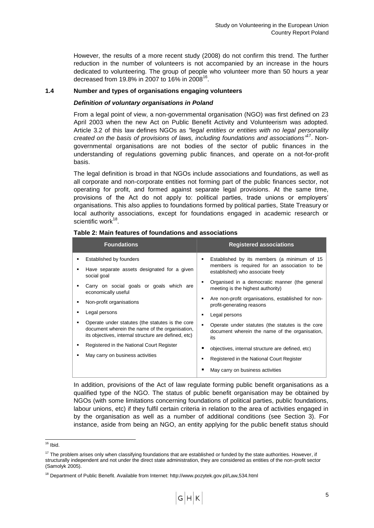However, the results of a more recent study (2008) do not confirm this trend. The further reduction in the number of volunteers is not accompanied by an increase in the hours dedicated to volunteering. The group of people who volunteer more than 50 hours a year decreased from 19.8% in 2007 to 16% in 2008<sup>16</sup>.

## <span id="page-6-0"></span>**1.4 Number and types of organisations engaging volunteers**

## *Definition of voluntary organisations in Poland*

From a legal point of view, a non-governmental organisation (NGO) was first defined on 23 April 2003 when the new Act on Public Benefit Activity and Volunteerism was adopted. Article 3.2 of this law defines NGOs as *"legal entities or entities with no legal personality*  created on the basis of provisions of laws, including foundations and associations<sup>"17</sup>. Nongovernmental organisations are not bodies of the sector of public finances in the understanding of regulations governing public finances, and operate on a not-for-profit basis.

The legal definition is broad in that NGOs include associations and foundations, as well as all corporate and non-corporate entities not forming part of the public finances sector, not operating for profit, and formed against separate legal provisions. At the same time, provisions of the Act do not apply to: political parties, trade unions or employers' organisations. This also applies to foundations formed by political parties, State Treasury or local authority associations, except for foundations engaged in academic research or scientific work<sup>18</sup>.

| <b>Foundations</b>                                                                                                                                         |                                                                                   | <b>Registered associations</b>                                                                            |  |
|------------------------------------------------------------------------------------------------------------------------------------------------------------|-----------------------------------------------------------------------------------|-----------------------------------------------------------------------------------------------------------|--|
| Established by founders                                                                                                                                    |                                                                                   | Established by its members (a minimum of 15                                                               |  |
| Have separate assets designated for a given<br>social goal                                                                                                 | members is required for an association to be<br>established) who associate freely |                                                                                                           |  |
| Carry on social goals or goals which are<br>economically useful                                                                                            |                                                                                   | Organised in a democratic manner (the general<br>meeting is the highest authority)                        |  |
| Non-profit organisations                                                                                                                                   | ٠                                                                                 | Are non-profit organisations, established for non-<br>profit-generating reasons                           |  |
| Legal persons                                                                                                                                              |                                                                                   | Legal persons                                                                                             |  |
| Operate under statutes (the statutes is the core<br>document wherein the name of the organisation,<br>its objectives, internal structure are defined, etc) |                                                                                   | Operate under statutes (the statutes is the core<br>document wherein the name of the organisation,<br>its |  |
| Registered in the National Court Register                                                                                                                  |                                                                                   | objectives, internal structure are defined, etc)                                                          |  |
| May carry on business activities                                                                                                                           |                                                                                   | Registered in the National Court Register                                                                 |  |
|                                                                                                                                                            |                                                                                   | May carry on business activities                                                                          |  |

#### **Table 2: Main features of foundations and associations**

In addition, provisions of the Act of law regulate forming public benefit organisations as a qualified type of the NGO. The status of public benefit organisation may be obtained by NGOs (with some limitations concerning foundations of political parties, public foundations, labour unions, etc) if they fulfil certain criteria in relation to the area of activities engaged in by the organisation as well as a number of additional conditions (see Section 3). For instance, aside from being an NGO, an entity applying for the public benefit status should

-

 $16$  Ibid.

<sup>&</sup>lt;sup>17</sup> The problem arises only when classifying foundations that are established or funded by the state authorities. However, if structurally independent and not under the direct state administration, they are considered as entities of the non-profit sector (Samolyk 2005).

<sup>&</sup>lt;sup>18</sup> Department of Public Benefit. Available from Internet: http://www.pozytek.gov.pl/Law.534.html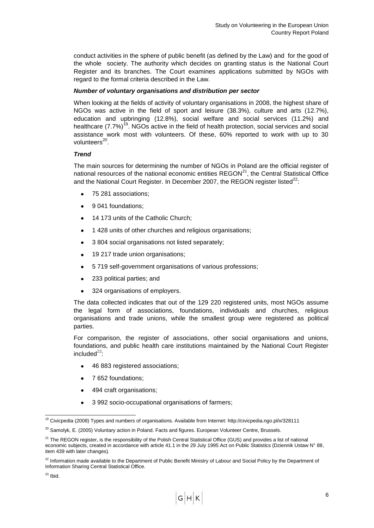conduct activities in the sphere of public benefit (as defined by the Law) and for the good of the whole society. The authority which decides on granting status is the National Court Register and its branches. The Court examines applications submitted by NGOs with regard to the formal criteria described in the Law.

## *Number of voluntary organisations and distribution per sector*

When looking at the fields of activity of voluntary organisations in 2008, the highest share of NGOs was active in the field of sport and leisure (38.3%), culture and arts (12.7%), education and upbringing (12.8%), social welfare and social services (11.2%) and healthcare  $(7.7%)^{19}$ . NGOs active in the field of health protection, social services and social assistance work most with volunteers. Of these, 60% reported to work with up to 30 volunteers<sup>20</sup>.

## *Trend*

The main sources for determining the number of NGOs in Poland are the official register of national resources of the national economic entities  $REGON<sup>21</sup>$ , the Central Statistical Office and the National Court Register. In December 2007, the REGON register listed $^{22}$ :

- 75 281 associations;
- 9 041 foundations;
- 14 173 units of the Catholic Church;
- 1 428 units of other churches and religious organisations;
- 3 804 social organisations not listed separately;  $\bullet$
- 19 217 trade union organisations;
- 5 719 self-government organisations of various professions;  $\bullet$
- 233 political parties; and  $\bullet$
- 324 organisations of employers.

The data collected indicates that out of the 129 220 registered units, most NGOs assume the legal form of associations, foundations, individuals and churches, religious organisations and trade unions, while the smallest group were registered as political parties.

For comparison, the register of associations, other social organisations and unions, foundations, and public health care institutions maintained by the National Court Register included $^{23}$ :

- 46 883 registered associations;
- 7 652 foundations;
- 494 craft organisations;
- 3 992 socio-occupational organisations of farmers;

<sup>-</sup><sup>19</sup> Civicpedia (2008) Types and numbers of organisations. Available from Internet: http://civicpedia.ngo.pl/x/328111

 $20$  Samolyk, E. (2005) Voluntary action in Poland. Facts and figures. European Volunteer Centre, Brussels.

<sup>&</sup>lt;sup>21</sup> The REGON register, is the responsibility of the Polish Central Statistical Office (GUS) and provides a list of national economic subjects, created in accordance with article 41.1 in the 29 July 1995 Act on Public Statistics (Dziennik Ustaw N° 88, item 439 with later changes).

<sup>&</sup>lt;sup>22</sup> Information made available to the Department of Public Benefit Ministry of Labour and Social Policy by the Department of Information Sharing Central Statistical Office.

 $23$  Ibid.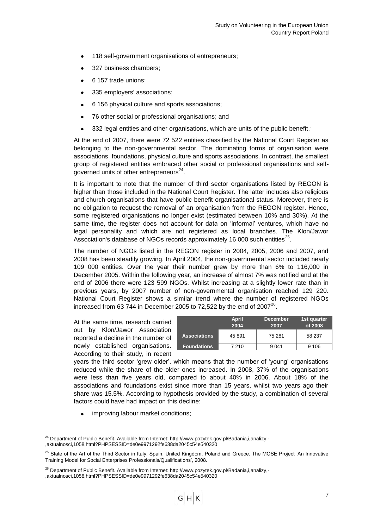- 118 self-government organisations of entrepreneurs;
- 327 business chambers;
- 6 157 trade unions;
- 335 employers' associations;
- 6 156 physical culture and sports associations;
- 76 other social or professional organisations; and  $\bullet$
- 332 legal entities and other organisations, which are units of the public benefit. .

At the end of 2007, there were 72 522 entities classified by the National Court Register as belonging to the non-governmental sector. The dominating forms of organisation were associations, foundations, physical culture and sports associations. In contrast, the smallest group of registered entities embraced other social or professional organisations and selfgoverned units of other entrepreneurs $^{24}$ .

It is important to note that the number of third sector organisations listed by REGON is higher than those included in the National Court Register. The latter includes also religious and church organisations that have public benefit organisational status. Moreover, there is no obligation to request the removal of an organisation from the REGON register. Hence, some registered organisations no longer exist (estimated between 10% and 30%). At the same time, the register does not account for data on "informal" ventures, which have no legal personality and which are not registered as local branches. The Klon/Jawor Association's database of NGOs records approximately 16 000 such entities $^{25}$ .

The number of NGOs listed in the REGON register in 2004, 2005, 2006 and 2007, and 2008 has been steadily growing. In April 2004, the non-governmental sector included nearly 109 000 entities. Over the year their number grew by more than 6% to 116,000 in December 2005. Within the following year, an increase of almost 7% was notified and at the end of 2006 there were 123 599 NGOs. Whilst increasing at a slightly lower rate than in previous years, by 2007 number of non-governmental organisation reached 129 220. National Court Register shows a similar trend where the number of registered NGOs increased from 63  $744$  in December 2005 to 72,522 by the end of 2007 $^{26}$ .

At the same time, research carried out by Klon/Jawor Association reported a decline in the number of newly established organisations. According to their study, in recent

|                     | <b>April</b><br>2004 | <b>December</b><br>2007 | 1st quarter<br>of 2008 |
|---------------------|----------------------|-------------------------|------------------------|
| <b>Associations</b> | 45 891               | 75 281                  | 58 237                 |
| <b>Foundations</b>  | 7 2 1 0              | 9 041                   | 9 10 6                 |

years the third sector "grew older", which means that the number of "young" organisations reduced while the share of the older ones increased. In 2008, 37% of the organisations were less than five years old, compared to about 40% in 2006. About 18% of the associations and foundations exist since more than 15 years, whilst two years ago their share was 15.5%. According to hypothesis provided by the study, a combination of several factors could have had impact on this decline:

 $\bullet$ improving labour market conditions;

1

<sup>&</sup>lt;sup>24</sup> Department of Public Benefit. Available from Internet: http://www.pozytek.gov.pl/Badania,i,analizy,-,aktualnosci,1058.html?PHPSESSID=de0e9971292fe638da2045c54e540320

<sup>&</sup>lt;sup>25</sup> State of the Art of the Third Sector in Italy, Spain, United Kingdom, Poland and Greece. The MOSE Project 'An Innovative Training Model for Social Enterprises Professionals/Qualifications", 2008.

<sup>&</sup>lt;sup>26</sup> Department of Public Benefit. Available from Internet: http://www.pozytek.gov.pl/Badania.i.analizy.-,aktualnosci,1058.html?PHPSESSID=de0e9971292fe638da2045c54e540320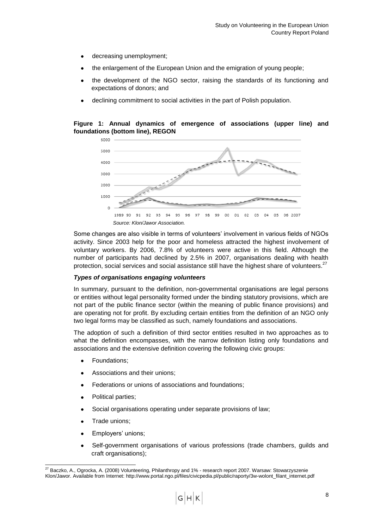- decreasing unemployment;
- the enlargement of the European Union and the emigration of young people;
- the development of the NGO sector, raising the standards of its functioning and expectations of donors; and
- declining commitment to social activities in the part of Polish population.

**Figure 1: Annual dynamics of emergence of associations (upper line) and foundations (bottom line), REGON**



Some changes are also visible in terms of volunteers" involvement in various fields of NGOs activity. Since 2003 help for the poor and homeless attracted the highest involvement of voluntary workers. By 2006, 7.8% of volunteers were active in this field. Although the number of participants had declined by 2.5% in 2007, organisations dealing with health protection, social services and social assistance still have the highest share of volunteers. $27$ 

### *Types of organisations engaging volunteers*

In summary, pursuant to the definition, non-governmental organisations are legal persons or entities without legal personality formed under the binding statutory provisions, which are not part of the public finance sector (within the meaning of public finance provisions) and are operating not for profit. By excluding certain entities from the definition of an NGO only two legal forms may be classified as such, namely foundations and associations.

The adoption of such a definition of third sector entities resulted in two approaches as to what the definition encompasses, with the narrow definition listing only foundations and associations and the extensive definition covering the following civic groups:

- Foundations;
- Associations and their unions;
- Federations or unions of associations and foundations;
- Political parties;
- Social organisations operating under separate provisions of law;
- Trade unions;

1

- Employers" unions;
- Self-government organisations of various professions (trade chambers, guilds and craft organisations);

<sup>&</sup>lt;sup>27</sup> Baczko, A., Ogrocka, A. (2008) Volunteering, Philanthropy and 1% - research report 2007. Warsaw: Stowarzyszenie [Klon/Jawor.](http://209.85.229.132/translate_c?hl=en&sl=pl&u=http://www.portal.ngo.pl/files/civicpedia.pl/public/raporty/3w-wolont_filant_internet.pdf&prev=/search%3Fq%3Dhttp://civicpedia.ngo.pl/x/322225%253Bjsessionid%253DF77C7100AA40A95249E018C2A0CFF732%26hl%3Den%26sa%3DG&usg=ALkJrhgECt5NnBh43lLiCzV3KingG9iPxg) Available from Internet: http://www.portal.ngo.pl/files/civicpedia.pl/public/raporty/3w-wolont\_filant\_internet.pdf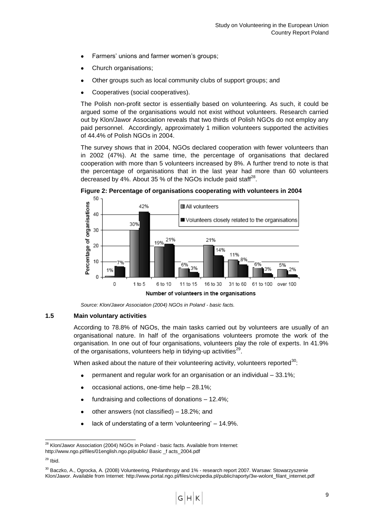- Farmers' unions and farmer women's groups;
- Church organisations;
- Other groups such as local community clubs of support groups; and
- Cooperatives (social cooperatives).

The Polish non-profit sector is essentially based on volunteering. As such, it could be argued some of the organisations would not exist without volunteers. Research carried out by Klon/Jawor Association reveals that two thirds of Polish NGOs do not employ any paid personnel. Accordingly, approximately 1 million volunteers supported the activities of 44.4% of Polish NGOs in 2004.

The survey shows that in 2004, NGOs declared cooperation with fewer volunteers than in 2002 (47%). At the same time, the percentage of organisations that declared cooperation with more than 5 volunteers increased by 8%. A further trend to note is that the percentage of organisations that in the last year had more than 60 volunteers decreased by 4%. About 35 % of the NGOs include paid staff<sup>28</sup>.



**Figure 2: Percentage of organisations cooperating with volunteers in 2004**

*Source: Klon/Jawor Association (2004) NGOs in Poland - basic facts.*

## <span id="page-10-0"></span>**1.5 Main voluntary activities**

According to 78.8% of NGOs, the main tasks carried out by volunteers are usually of an organisational nature. In half of the organisations volunteers promote the work of the organisation. In one out of four organisations, volunteers play the role of experts. In 41.9% of the organisations, volunteers help in tidying-up activities<sup>29</sup>.

When asked about the nature of their volunteering activity, volunteers reported<sup>30</sup>:

- permanent and regular work for an organisation or an individual 33.1%;
- occasional actions, one-time help 28.1%;
- fundraising and collections of donations 12.4%;
- other answers (not classified) 18.2%; and
- lack of understating of a term 'volunteering' 14.9%.

<sup>1</sup>  $28$  Klon/Jawor Association (2004) NGOs in Poland - basic facts. Available from Internet:

http://www.ngo.pl/files/01english.ngo.pl/public/ Basic \_f acts\_2004.pdf

 $29$  Ibid.

<sup>30</sup> Baczko, A., Ogrocka, A. (2008) Volunteering, Philanthropy and 1% - [research report 2007. Warsaw: Stowarzyszenie](http://209.85.229.132/translate_c?hl=en&sl=pl&u=http://www.portal.ngo.pl/files/civicpedia.pl/public/raporty/3w-wolont_filant_internet.pdf&prev=/search%3Fq%3Dhttp://civicpedia.ngo.pl/x/322225%253Bjsessionid%253DF77C7100AA40A95249E018C2A0CFF732%26hl%3Den%26sa%3DG&usg=ALkJrhgECt5NnBh43lLiCzV3KingG9iPxg)  [Klon/Jawor.](http://209.85.229.132/translate_c?hl=en&sl=pl&u=http://www.portal.ngo.pl/files/civicpedia.pl/public/raporty/3w-wolont_filant_internet.pdf&prev=/search%3Fq%3Dhttp://civicpedia.ngo.pl/x/322225%253Bjsessionid%253DF77C7100AA40A95249E018C2A0CFF732%26hl%3Den%26sa%3DG&usg=ALkJrhgECt5NnBh43lLiCzV3KingG9iPxg) Available from Internet: http://www.portal.ngo.pl/files/civicpedia.pl/public/raporty/3w-wolont\_filant\_internet.pdf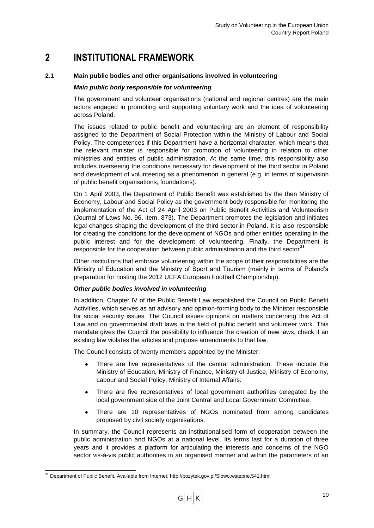## <span id="page-11-0"></span>**2 INSTITUTIONAL FRAMEWORK**

## <span id="page-11-1"></span>**2.1 Main public bodies and other organisations involved in volunteering**

## *Main public body responsible for volunteering*

The government and volunteer organisations (national and regional centres) are the main actors engaged in promoting and supporting voluntary work and the idea of volunteering across Poland.

The issues related to public benefit and volunteering are an element of responsibility assigned to the Department of Social Protection within the Ministry of Labour and Social Policy. The competences if this Department have a horizontal character, which means that the relevant minister is responsible for promotion of volunteering in relation to other ministries and entities of public administration. At the same time, this responsibility also includes overseeing the conditions necessary for development of the third sector in Poland and development of volunteering as a phenomenon in general (e.g. in terms of supervision of public benefit organisations, foundations).

On 1 April 2003, the Department of Public Benefit was established by the then Ministry of Economy, Labour and Social Policy as the government body responsible for monitoring the implementation of the Act of 24 April 2003 on Public Benefit Activities and Volunteerism (Journal of Laws No. 96, item. 873). The Department promotes the legislation and initiates legal changes shaping the development of the third sector in Poland. It is also responsible for creating the conditions for the development of NGOs and other entities operating in the public interest and for the development of volunteering. Finally, the Department is responsible for the cooperation between public administration and the third sector<sup>31</sup>.

Other institutions that embrace volunteering within the scope of their responsibilities are the Ministry of Education and the Ministry of Sport and Tourism (mainly in terms of Poland"s preparation for hosting the 2012 UEFA European Football Championship).

## *Other public bodies involved in volunteering*

In addition, Chapter IV of the Public Benefit Law established the Council on Public Benefit Activities, which serves as an advisory and opinion-forming body to the Minister responsible for social security issues. The Council issues opinions on matters concerning this Act of Law and on governmental draft laws in the field of public benefit and volunteer work. This mandate gives the Council the possibility to influence the creation of new laws, check if an existing law violates the articles and propose amendments to that law.

The Council consists of twenty members appointed by the Minister:

- There are five representatives of the central administration. These include the Ministry of Education, Ministry of Finance, Ministry of Justice, Ministry of Economy, Labour and Social Policy, Ministry of Internal Affairs.
- There are five representatives of local government authorities delegated by the  $\bullet$ local government side of the Joint Central and Local Government Committee.
- There are 10 representatives of NGOs nominated from among candidates  $\bullet$ proposed by civil society organisations.

In summary, the Council represents an institutionalised form of cooperation between the public administration and NGOs at a national level. Its terms last for a duration of three years and it provides a platform for articulating the interests and concerns of the NGO sector vis-à-vis public authorities in an organised manner and within the parameters of an

<sup>1</sup> <sup>31</sup> Department of Public Benefit. Available from Internet: http://pozytek.gov.pl/Slowo,wstepne,541.html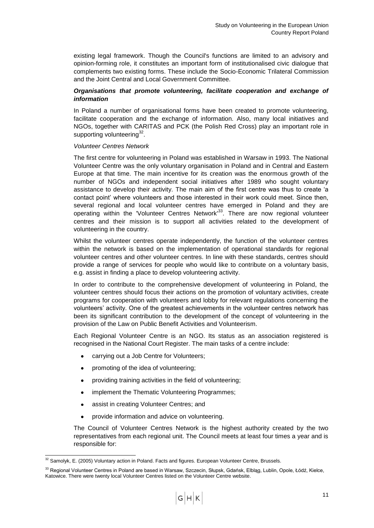existing legal framework. Though the Council's functions are limited to an advisory and opinion-forming role, it constitutes an important form of institutionalised civic dialogue that complements two existing forms. These include the Socio-Economic Trilateral Commission and the Joint Central and Local Government Committee.

## *Organisations that promote volunteering, facilitate cooperation and exchange of information*

In Poland a number of organisational forms have been created to promote volunteering, facilitate cooperation and the exchange of information. Also, many local initiatives and NGOs, together with CARITAS and PCK (the Polish Red Cross) play an important role in supporting volunteering<sup>32</sup>.

## *Volunteer Centres Network*

The first centre for volunteering in Poland was established in Warsaw in 1993. The National Volunteer Centre was the only voluntary organisation in Poland and in Central and Eastern Europe at that time. The main incentive for its creation was the enormous growth of the number of NGOs and independent social initiatives after 1989 who sought voluntary assistance to develop their activity. The main aim of the first centre was thus to create "a contact point" where volunteers and those interested in their work could meet. Since then, several regional and local volunteer centres have emerged in Poland and they are operating within the 'Volunteer Centres Network<sup>133</sup>. There are now regional volunteer centres and their mission is to support all activities related to the development of volunteering in the country.

Whilst the volunteer centres operate independently, the function of the volunteer centres within the network is based on the implementation of operational standards for regional volunteer centres and other volunteer centres. In line with these standards, centres should provide a range of services for people who would like to contribute on a voluntary basis, e.g. assist in finding a place to develop volunteering activity.

In order to contribute to the comprehensive development of volunteering in Poland, the volunteer centres should focus their actions on the promotion of voluntary activities, create programs for cooperation with volunteers and lobby for relevant regulations concerning the volunteers" activity. One of the greatest achievements in the volunteer centres network has been its significant contribution to the development of the concept of volunteering in the provision of the Law on Public Benefit Activities and Volunteerism.

Each Regional Volunteer Centre is an NGO. Its status as an association registered is recognised in the National Court Register. The main tasks of a centre include:

- carrying out a Job Centre for Volunteers;
- promoting of the idea of volunteering;
- providing training activities in the field of volunteering;
- implement the Thematic Volunteering Programmes;
- assist in creating Volunteer Centres; and  $\bullet$
- provide information and advice on volunteering.

The Council of Volunteer Centres Network is the highest authority created by the two representatives from each regional unit. The Council meets at least four times a year and is responsible for:

<sup>1</sup>  $32$  Samolyk, E. (2005) Voluntary action in Poland. Facts and figures. European Volunteer Centre, Brussels.

<sup>&</sup>lt;sup>33</sup> Regional Volunteer Centres in Poland are based in Warsaw, Szczecin, Słupsk, Gdańsk, Elblag, Lublin, Opole, Łódź, Kielce, Katowice. There were twenty local Volunteer Centres listed on the Volunteer Centre website.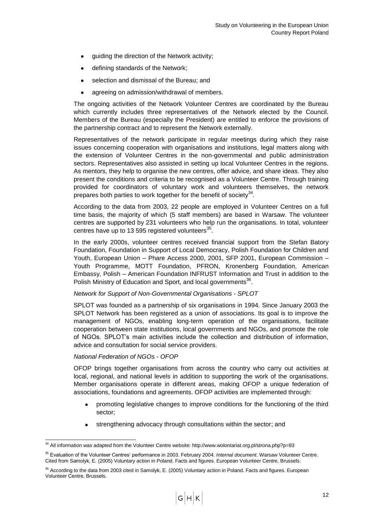- guiding the direction of the Network activity;
- defining standards of the Network;
- selection and dismissal of the Bureau; and
- agreeing on admission/withdrawal of members.

The ongoing activities of the Network Volunteer Centres are coordinated by the Bureau which currently includes three representatives of the Network elected by the Council. Members of the Bureau (especially the President) are entitled to enforce the provisions of the partnership contract and to represent the Network externally.

Representatives of the network participate in regular meetings during which they raise issues concerning cooperation with organisations and institutions, legal matters along with the extension of Volunteer Centres in the non-governmental and public administration sectors. Representatives also assisted in setting up local Volunteer Centres in the regions. As mentors, they help to organise the new centres, offer advice, and share ideas. They also present the conditions and criteria to be recognised as a Volunteer Centre. Through training provided for coordinators of voluntary work and volunteers themselves, the network prepares both parties to work together for the benefit of society<sup>34</sup>.

According to the data from 2003, 22 people are employed in Volunteer Centres on a full time basis, the majority of which (5 staff members) are based in Warsaw. The volunteer centres are supported by 231 volunteers who help run the organisations. In total, volunteer centres have up to 13 595 registered volunteers $^{35}$ .

In the early 2000s, volunteer centres received financial support from the Stefan Batory Foundation, Foundation in Support of Local Democracy, Polish Foundation for Children and Youth, European Union – Phare Access 2000, 2001, SFP 2001, European Commission – Youth Programme, MOTT Foundation, PFRON, Kronenberg Foundation, American Embassy, Polish – American Foundation INFRUST Information and Trust in addition to the Polish Ministry of Education and Sport, and local governments<sup>36</sup>.

## *Network for Support of Non-Governmental Organisations - SPLOT*

SPLOT was founded as a partnership of six organisations in 1994. Since January 2003 the SPLOT Network has been registered as a union of associations. Its goal is to improve the management of NGOs, enabling long-term operation of the organisations, facilitate cooperation between state institutions, local governments and NGOs, and promote the role of NGOs. SPLOT"s main activities include the collection and distribution of information, advice and consultation for social service providers.

### *National Federation of NGOs - OFOP*

1

OFOP brings together organisations from across the country who carry out activities at local, regional, and national levels in addition to supporting the work of the organisations. Member organisations operate in different areas, making OFOP a unique federation of associations, foundations and agreements. OFOP activities are implemented through:

- promoting legislative changes to improve conditions for the functioning of the third sector;
- strengthening advocacy through consultations within the sector; and

 $34$  All information was adapted from the Volunteer Centre website: http://www.wolontariat.org.pl/strona.php?p=93

<sup>35</sup> Evaluation of the Volunteer Centres" performance in 2003. February 2004. *Internal document*. Warsaw Volunteer Centre. Cited from Samolyk, E. (2005) Voluntary action in Poland. Facts and figures. European Volunteer Centre, Brussels.

<sup>&</sup>lt;sup>36</sup> According to the data from 2003 cited in Samolyk, E. (2005) Voluntary action in Poland. Facts and figures. European Volunteer Centre, Brussels.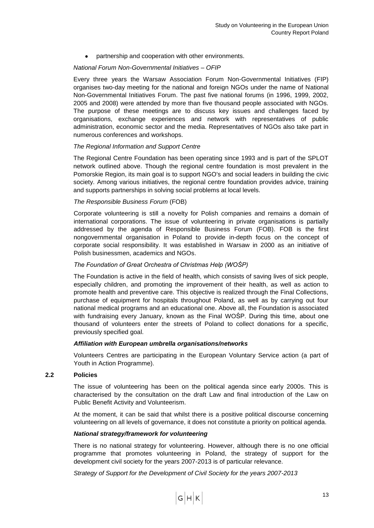partnership and cooperation with other environments.

## *National Forum Non-Governmental Initiatives – OFIP*

Every three years the Warsaw Association Forum Non-Governmental Initiatives (FIP) organises two-day meeting for the national and foreign NGOs under the name of National Non-Governmental Initiatives Forum. The past five national forums (in 1996, 1999, 2002, 2005 and 2008) were attended by more than five thousand people associated with NGOs. The purpose of these meetings are to discuss key issues and challenges faced by organisations, exchange experiences and network with representatives of public administration, economic sector and the media. Representatives of NGOs also take part in numerous conferences and workshops.

## *The Regional Information and Support Centre*

The Regional Centre Foundation has been operating since 1993 and is part of the SPLOT network outlined above. Though the regional centre foundation is most prevalent in the Pomorskie Region, its main goal is to support NGO's and social leaders in building the civic society. Among various initiatives, the regional centre foundation provides advice, training and supports partnerships in solving social problems at local levels.

## *The Responsible Business Forum* (FOB)

Corporate volunteering is still a novelty for Polish companies and remains a domain of international corporations. The issue of volunteering in private organisations is partially addressed by the agenda of Responsible Business Forum (FOB). FOB is the first nongovernmental organisation in Poland to provide in-depth focus on the concept of corporate social responsibility. It was established in Warsaw in 2000 as an initiative of Polish businessmen, academics and NGOs.

## *The Foundation of Great Orchestra of Christmas Help (WOŚP)*

The Foundation is active in the field of health, which consists of saving lives of sick people, especially children, and promoting the improvement of their health, as well as action to promote health and preventive care. This objective is realized through the Final Collections, purchase of equipment for hospitals throughout Poland, as well as by carrying out four national medical programs and an educational one. Above all, the Foundation is associated with fundraising every January, known as the Final WOŚP. During this time, about one thousand of volunteers enter the streets of Poland to collect donations for a specific, previously specified goal.

### *Affiliation with European umbrella organisations/networks*

Volunteers Centres are participating in the European Voluntary Service action (a part of Youth in Action Programme).

### <span id="page-14-0"></span>**2.2 Policies**

The issue of volunteering has been on the political agenda since early 2000s. This is characterised by the consultation on the draft Law and final introduction of the Law on Public Benefit Activity and Volunteerism.

At the moment, it can be said that whilst there is a positive political discourse concerning volunteering on all levels of governance, it does not constitute a priority on political agenda.

### *National strategy/framework for volunteering*

There is no national strategy for volunteering. However, although there is no one official programme that promotes volunteering in Poland, the strategy of support for the development civil society for the years 2007-2013 is of particular relevance.

*Strategy of Support for the Development of Civil Society for the years 2007-2013*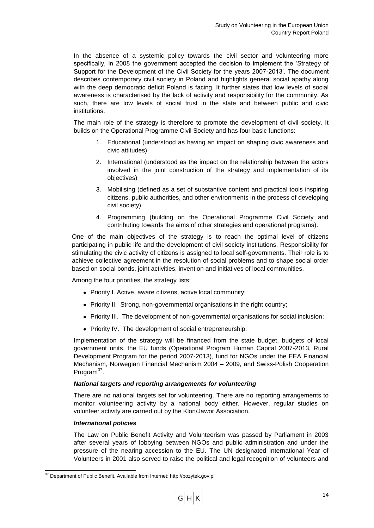In the absence of a systemic policy towards the civil sector and volunteering more specifically, in 2008 the government accepted the decision to implement the "Strategy of Support for the Development of the Civil Society for the years 2007-2013". The document describes contemporary civil society in Poland and highlights general social apathy along with the deep democratic deficit Poland is facing. It further states that low levels of social awareness is characterised by the lack of activity and responsibility for the community. As such, there are low levels of social trust in the state and between public and civic institutions.

The main role of the strategy is therefore to promote the development of civil society. It builds on the Operational Programme Civil Society and has four basic functions:

- 1. Educational (understood as having an impact on shaping civic awareness and civic attitudes)
- 2. International (understood as the impact on the relationship between the actors involved in the joint construction of the strategy and implementation of its objectives)
- 3. Mobilising (defined as a set of substantive content and practical tools inspiring citizens, public authorities, and other environments in the process of developing civil society)
- 4. Programming (building on the Operational Programme Civil Society and contributing towards the aims of other strategies and operational programs).

One of the main objectives of the strategy is to reach the optimal level of citizens participating in public life and the development of civil society institutions. Responsibility for stimulating the civic activity of citizens is assigned to local self-governments. Their role is to achieve collective agreement in the resolution of social problems and to shape social order based on social bonds, joint activities, invention and initiatives of local communities.

Among the four priorities, the strategy lists:

- Priority I. Active, aware citizens, active local community;
- Priority II. Strong, non-governmental organisations in the right country;
- Priority III. The development of non-governmental organisations for social inclusion;
- Priority IV. The development of social entrepreneurship.

Implementation of the strategy will be financed from the state budget, budgets of local government units, the EU funds (Operational Program Human Capital 2007-2013, Rural Development Program for the period 2007-2013), fund for NGOs under the EEA Financial Mechanism, Norwegian Financial Mechanism 2004 – 2009, and Swiss-Polish Cooperation Program<sup>37</sup>.

### *National targets and reporting arrangements for volunteering*

There are no national targets set for volunteering. There are no reporting arrangements to monitor volunteering activity by a national body either. However, regular studies on volunteer activity are carried out by the Klon/Jawor Association.

### *International policies*

1

The Law on Public Benefit Activity and Volunteerism was passed by Parliament in 2003 after several years of lobbying between NGOs and public administration and under the pressure of the nearing accession to the EU. The UN designated International Year of Volunteers in 2001 also served to raise the political and legal recognition of volunteers and

<sup>&</sup>lt;sup>37</sup> Department of Public Benefit. Available from Internet: http://pozytek.gov.pl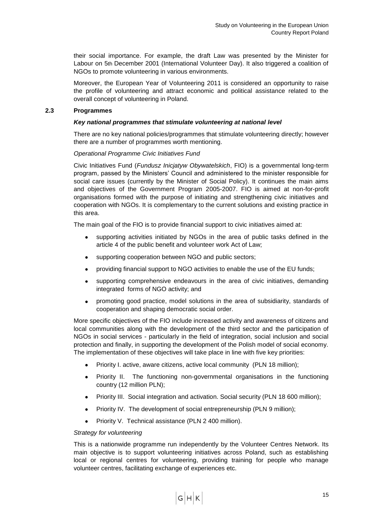their social importance. For example, the draft Law was presented by the Minister for Labour on 5th December 2001 (International Volunteer Day). It also triggered a coalition of NGOs to promote volunteering in various environments.

Moreover, the European Year of Volunteering 2011 is considered an opportunity to raise the profile of volunteering and attract economic and political assistance related to the overall concept of volunteering in Poland.

## <span id="page-16-0"></span>**2.3 Programmes**

## *Key national programmes that stimulate volunteering at national level*

There are no key national policies/programmes that stimulate volunteering directly; however there are a number of programmes worth mentioning.

## *Operational Programme Civic Initiatives Fund*

Civic Initiatives Fund (*Fundusz Inicjatyw Obywatelskich*, FIO) is a governmental long-term program, passed by the Ministers" Council and administered to the minister responsible for social care issues (currently by the Minister of Social Policy). It continues the main aims and objectives of the Government Program 2005-2007. FIO is aimed at non-for-profit organisations formed with the purpose of initiating and strengthening civic initiatives and cooperation with NGOs. It is complementary to the current solutions and existing practice in this area.

The main goal of the FIO is to provide financial support to civic initiatives aimed at:

- supporting activities initiated by NGOs in the area of public tasks defined in the article 4 of the public benefit and volunteer work Act of Law;
- supporting cooperation between NGO and public sectors;  $\bullet$
- providing financial support to NGO activities to enable the use of the EU funds;
- supporting comprehensive endeavours in the area of civic initiatives, demanding  $\bullet$ integrated forms of NGO activity; and
- promoting good practice, model solutions in the area of subsidiarity, standards of cooperation and shaping democratic social order.

More specific objectives of the FIO include increased activity and awareness of citizens and local communities along with the development of the third sector and the participation of NGOs in social services - particularly in the field of integration, social inclusion and social protection and finally, in supporting the development of the Polish model of social economy. The implementation of these objectives will take place in line with five key priorities:

- Priority I. active, aware citizens, active local community (PLN 18 million);  $\bullet$
- Priority II. The functioning non-governmental organisations in the functioning  $\bullet$ country (12 million PLN);
- Priority III. Social integration and activation. Social security (PLN 18 600 million);  $\bullet$
- Priority IV. The development of social entrepreneurship (PLN 9 million);  $\bullet$
- Priority V. Technical assistance (PLN 2 400 million).

### *Strategy for volunteering*

This is a nationwide programme run independently by the Volunteer Centres Network. Its main objective is to support volunteering initiatives across Poland, such as establishing local or regional centres for volunteering, providing training for people who manage volunteer centres, facilitating exchange of experiences etc.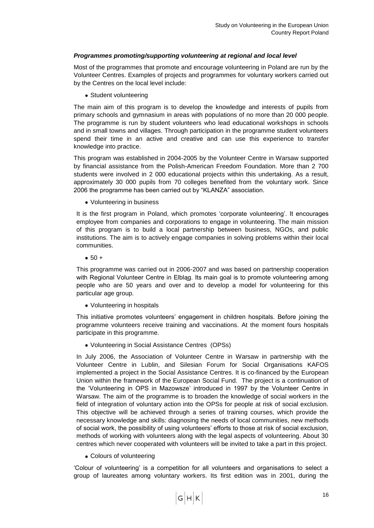## *Programmes promoting/supporting volunteering at regional and local level*

Most of the programmes that promote and encourage volunteering in Poland are run by the Volunteer Centres. Examples of projects and programmes for voluntary workers carried out by the Centres on the local level include:

• Student volunteering

The main aim of this program is to develop the knowledge and interests of pupils from primary schools and gymnasium in areas with populations of no more than 20 000 people. The programme is run by student volunteers who lead educational workshops in schools and in small towns and villages. Through participation in the programme student volunteers spend their time in an active and creative and can use this experience to transfer knowledge into practice.

This program was established in 2004-2005 by the Volunteer Centre in Warsaw supported by financial assistance from the Polish-American Freedom Foundation. More than 2 700 students were involved in 2 000 educational projects within this undertaking. As a result, approximately 30 000 pupils from 70 colleges benefited from the voluntary work. Since 2006 the programme has been carried out by "KLANZA" association.

Volunteering in business

It is the first program in Poland, which promotes 'corporate volunteering'. It encourages employee from companies and corporations to engage in volunteering. The main mission of this program is to build a local partnership between business, NGOs, and public institutions. The aim is to actively engage companies in solving problems within their local communities.

 $• 50 +$ 

This programme was carried out in 2006-2007 and was based on partnership cooperation with Regional Volunteer Centre in Elbląg. Its main goal is to promote volunteering among people who are 50 years and over and to develop a model for volunteering for this particular age group.

Volunteering in hospitals

This initiative promotes volunteers" engagement in children hospitals. Before joining the programme volunteers receive training and vaccinations. At the moment fours hospitals participate in this programme.

Volunteering in Social Assistance Centres (OPSs)

In July 2006, the Association of Volunteer Centre in Warsaw in partnership with the Volunteer Centre in Lublin, and Silesian Forum for Social Organisations KAFOS implemented a project in the Social Assistance Centres. It is co-financed by the European Union within the framework of the European Social Fund. The project is a continuation of the "Volunteering in OPS in Mazowsze" introduced in 1997 by the Volunteer Centre in Warsaw. The aim of the programme is to broaden the knowledge of social workers in the field of integration of voluntary action into the OPSs for people at risk of social exclusion. This objective will be achieved through a series of training courses, which provide the necessary knowledge and skills: diagnosing the needs of local communities, new methods of social work, the possibility of using volunteers" efforts to those at risk of social exclusion, methods of working with volunteers along with the legal aspects of volunteering. About 30 centres which never cooperated with volunteers will be invited to take a part in this project.

Colours of volunteering

"Colour of volunteering" is a competition for all volunteers and organisations to select a group of laureates among voluntary workers. Its first edition was in 2001, during the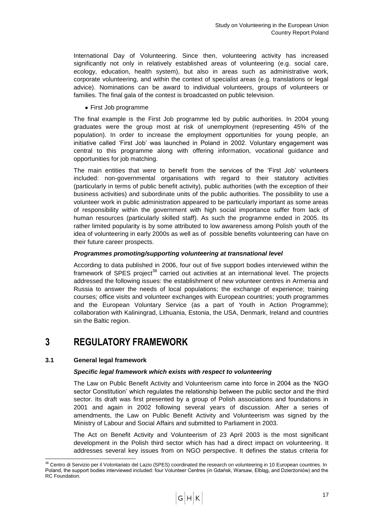International Day of Volunteering. Since then, volunteering activity has increased significantly not only in relatively established areas of volunteering (e.g. social care, ecology, education, health system), but also in areas such as administrative work, corporate volunteering, and within the context of specialist areas (e.g. translations or legal advice). Nominations can be award to individual volunteers, groups of volunteers or families. The final gala of the contest is broadcasted on public television.

First Job programme

The final example is the First Job programme led by public authorities. In 2004 young graduates were the group most at risk of unemployment (representing 45% of the population). In order to increase the employment opportunities for young people, an initiative called "First Job" was launched in Poland in 2002. Voluntary engagement was central to this programme along with offering information, vocational guidance and opportunities for job matching.

The main entities that were to benefit from the services of the "First Job" volunteers included: non-governmental organisations with regard to their statutory activities (particularly in terms of public benefit activity), public authorities (with the exception of their business activities) and subordinate units of the public authorities. The possibility to use a volunteer work in public administration appeared to be particularly important as some areas of responsibility within the government with high social importance suffer from lack of human resources (particularly skilled staff). As such the programme ended in 2005. Its rather limited popularity is by some attributed to low awareness among Polish youth of the idea of volunteering in early 2000s as well as of possible benefits volunteering can have on their future career prospects.

## *Programmes promoting/supporting volunteering at transnational level*

According to data published in 2006, four out of five support bodies interviewed within the framework of SPES project<sup>38</sup> carried out activities at an international level. The projects addressed the following issues: the establishment of new volunteer centres in Armenia and Russia to answer the needs of local populations; the exchange of experience; training courses; office visits and volunteer exchanges with European countries; youth programmes and the European Voluntary Service (as a part of Youth in Action Programme); collaboration with Kaliningrad, Lithuania, Estonia, the USA, Denmark, Ireland and countries sin the Baltic region.

## <span id="page-18-0"></span>**3 REGULATORY FRAMEWORK**

## <span id="page-18-1"></span>**3.1 General legal framework**

1

## *Specific legal framework which exists with respect to volunteering*

The Law on Public Benefit Activity and Volunteerism came into force in 2004 as the "NGO sector Constitution' which regulates the relationship between the public sector and the third sector. Its draft was first presented by a group of Polish associations and foundations in 2001 and again in 2002 following several years of discussion. After a series of amendments, the Law on Public Benefit Activity and Volunteerism was signed by the Ministry of Labour and Social Affairs and submitted to Parliament in 2003.

The Act on Benefit Activity and Volunteerism of 23 April 2003 is the most significant development in the Polish third sector which has had a direct impact on volunteering. It addresses several key issues from on NGO perspective. It defines the status criteria for

<sup>&</sup>lt;sup>38</sup> Centro di Servizio per il Volontariato del Lazio (SPES) coordinated the research on volunteering in 10 European countries. In Poland, the support bodies interviewed included: four Volunteer Centres (in Gdańsk, Warsaw, Elbląg, and Dzierżoniów) and the RC Foundation.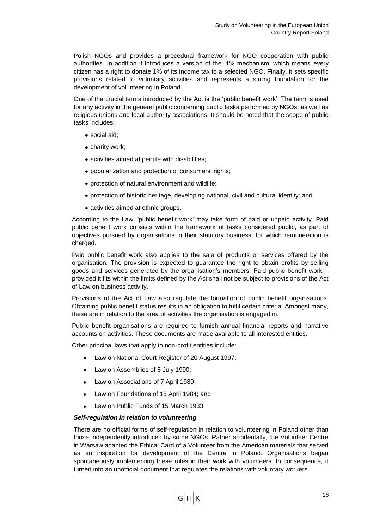Polish NGOs and provides a procedural framework for NGO cooperation with public authorities. In addition it introduces a version of the "1% mechanism" which means every citizen has a right to donate 1% of its income tax to a selected NGO. Finally, it sets specific provisions related to voluntary activities and represents a strong foundation for the development of volunteering in Poland.

One of the crucial terms introduced by the Act is the "public benefit work". The term is used for any activity in the general public concerning public tasks performed by NGOs, as well as religious unions and local authority associations. It should be noted that the scope of public tasks includes:

- social aid;
- charity work;
- activities aimed at people with disabilities;
- popularization and protection of consumers' rights;
- protection of natural environment and wildlife;
- protection of historic heritage, developing national, civil and cultural identity; and
- activities aimed at ethnic groups.

According to the Law, 'public benefit work' may take form of paid or unpaid activity. Paid public benefit work consists within the framework of tasks considered public, as part of objectives pursued by organisations in their statutory business, for which remuneration is charged.

Paid public benefit work also applies to the sale of products or services offered by the organisation. The provision is expected to guarantee the right to obtain profits by selling goods and services generated by the organisation's members. Paid public benefit work  $$ provided it fits within the limits defined by the Act shall not be subject to provisions of the Act of Law on business activity.

Provisions of the Act of Law also regulate the formation of public benefit organisations. Obtaining public benefit status results in an obligation to fulfil certain criteria. Amongst many, these are in relation to the area of activities the organisation is engaged in.

Public benefit organisations are required to furnish annual financial reports and narrative accounts on activities. These documents are made available to all interested entities.

Other principal laws that apply to non-profit entities include:

- Law on National Court Register of 20 August 1997;  $\bullet$
- Law on Assemblies of 5 July 1990;
- Law on Associations of 7 April 1989;
- Law on Foundations of 15 April 1984; and
- Law on Public Funds of 15 March 1933.

#### *Self-regulation in relation to volunteering*

There are no official forms of self-regulation in relation to volunteering in Poland other than those independently introduced by some NGOs. Rather accidentally, the Volunteer Centre in Warsaw adapted the Ethical Card of a Volunteer from the American materials that served as an inspiration for development of the Centre in Poland. Organisations began spontaneously implementing these rules in their work with volunteers. In consequence, it turned into an unofficial document that regulates the relations with voluntary workers.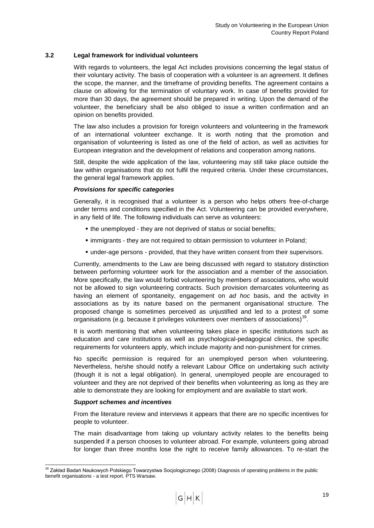## <span id="page-20-0"></span>**3.2 Legal framework for individual volunteers**

With regards to volunteers, the legal Act includes provisions concerning the legal status of their voluntary activity. The basis of cooperation with a volunteer is an agreement. It defines the scope, the manner, and the timeframe of providing benefits. The agreement contains a clause on allowing for the termination of voluntary work. In case of benefits provided for more than 30 days, the agreement should be prepared in writing. Upon the demand of the volunteer, the beneficiary shall be also obliged to issue a written confirmation and an opinion on benefits provided.

The law also includes a provision for foreign volunteers and volunteering in the framework of an international volunteer exchange. It is worth noting that the promotion and organisation of volunteering is listed as one of the field of action, as well as activities for European integration and the development of relations and cooperation among nations.

Still, despite the wide application of the law, volunteering may still take place outside the law within organisations that do not fulfil the required criteria. Under these circumstances, the general legal framework applies.

## *Provisions for specific categories*

Generally, it is recognised that a volunteer is a person who helps others free-of-charge under terms and conditions specified in the Act. Volunteering can be provided everywhere, in any field of life. The following individuals can serve as volunteers:

- the unemployed they are not deprived of status or social benefits;
- immigrants they are not required to obtain permission to volunteer in Poland;
- under-age persons provided, that they have written consent from their supervisors.

Currently, amendments to the Law are being discussed with regard to statutory distinction between performing volunteer work for the association and a member of the association. More specifically, the law would forbid volunteering by members of associations, who would not be allowed to sign volunteering contracts. Such provision demarcates volunteering as having an element of spontaneity, engagement on *ad hoc* basis, and the activity in associations as by its nature based on the permanent organisational structure. The proposed change is sometimes perceived as unjustified and led to a protest of some organisations (e.g. because it privileges volunteers over members of associations) $^{39}$ .

It is worth mentioning that when volunteering takes place in specific institutions such as education and care institutions as well as psychological-pedagogical clinics, the specific requirements for volunteers apply, which include majority and non-punishment for crimes.

No specific permission is required for an unemployed person when volunteering. Nevertheless, he/she should notify a relevant Labour Office on undertaking such activity (though it is not a legal obligation). In general, unemployed people are encouraged to volunteer and they are not deprived of their benefits when volunteering as long as they are able to demonstrate they are looking for employment and are available to start work.

### *Support schemes and incentives*

From the literature review and interviews it appears that there are no specific incentives for people to volunteer.

The main disadvantage from taking up voluntary activity relates to the benefits being suspended if a person chooses to volunteer abroad. For example, volunteers going abroad for longer than three months lose the right to receive family allowances. To re-start the

<sup>1</sup> <sup>39</sup> Zakład Badań Naukowych Polskiego Towarzystwa Socjologicznego (2008) Diagnosis of operating problems in the public benefit organisations - [a test report. PTS Warsaw.](http://209.85.227.132/translate_c?hl=en&sl=pl&u=http://www.pozytek.gov.pl/files/pozytek/sprawozdanie_z_ustawy/KBN/Raport%252015.XII.pdf&prev=/search%3Fq%3DDiagnoza%2Bproblem%25C3%25B3w%2Bfunkcjonowania%26hl%3Den%26sa%3DG&rurl=translate.google.co.uk&usg=ALkJrhi2rbYR2FuEgqTTtv1MdpAUmMtGMw)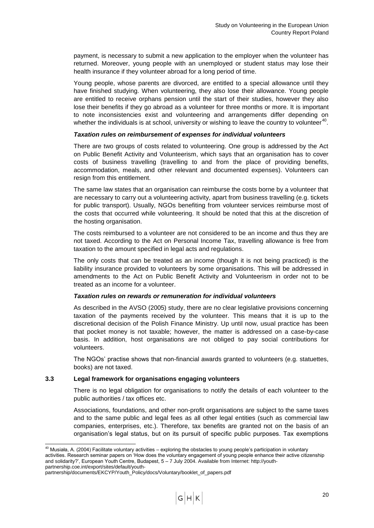payment, is necessary to submit a new application to the employer when the volunteer has returned. Moreover, young people with an unemployed or student status may lose their health insurance if they volunteer abroad for a long period of time.

Young people, whose parents are divorced, are entitled to a special allowance until they have finished studying. When volunteering, they also lose their allowance. Young people are entitled to receive orphans pension until the start of their studies, however they also lose their benefits if they go abroad as a volunteer for three months or more. It is important to note inconsistencies exist and volunteering and arrangements differ depending on whether the individuals is at school, university or wishing to leave the country to volunteer<sup>40</sup>.

### *Taxation rules on reimbursement of expenses for individual volunteers*

There are two groups of costs related to volunteering. One group is addressed by the Act on Public Benefit Activity and Volunteerism, which says that an organisation has to cover costs of business travelling (travelling to and from the place of providing benefits, accommodation, meals, and other relevant and documented expenses). Volunteers can resign from this entitlement.

The same law states that an organisation can reimburse the costs borne by a volunteer that are necessary to carry out a volunteering activity, apart from business travelling (e.g. tickets for public transport). Usually, NGOs benefiting from volunteer services reimburse most of the costs that occurred while volunteering. It should be noted that this at the discretion of the hosting organisation.

The costs reimbursed to a volunteer are not considered to be an income and thus they are not taxed. According to the Act on Personal Income Tax, travelling allowance is free from taxation to the amount specified in legal acts and regulations.

The only costs that can be treated as an income (though it is not being practiced) is the liability insurance provided to volunteers by some organisations. This will be addressed in amendments to the Act on Public Benefit Activity and Volunteerism in order not to be treated as an income for a volunteer.

## *Taxation rules on rewards or remuneration for individual volunteers*

As described in the AVSO (2005) study, there are no clear legislative provisions concerning taxation of the payments received by the volunteer. This means that it is up to the discretional decision of the Polish Finance Ministry. Up until now, usual practice has been that pocket money is not taxable; however, the matter is addressed on a case-by-case basis. In addition, host organisations are not obliged to pay social contributions for volunteers.

The NGOs" practise shows that non-financial awards granted to volunteers (e.g. statuettes, books) are not taxed.

## <span id="page-21-0"></span>**3.3 Legal framework for organisations engaging volunteers**

There is no legal obligation for organisations to notify the details of each volunteer to the public authorities / tax offices etc.

Associations, foundations, and other non-profit organisations are subject to the same taxes and to the same public and legal fees as all other legal entities (such as commercial law companies, enterprises, etc.). Therefore, tax benefits are granted not on the basis of an organisation"s legal status, but on its pursuit of specific public purposes. Tax exemptions

-

 $40$  Musiała, A. (2004) Facilitate voluntary activities – exploring the obstacles to young people's participation in voluntary activities. Research seminar papers on "How does the voluntary engagement of young people enhance their active citizenship and solidarity?", European Youth Centre, Budapest, 5 – 7 July 2004. Available from Internet: http://youth-

partnership.coe.int/export/sites/default/youth-

partnership/documents/EKCYP/Youth\_Policy/docs/Voluntary/booklet\_of\_papers.pdf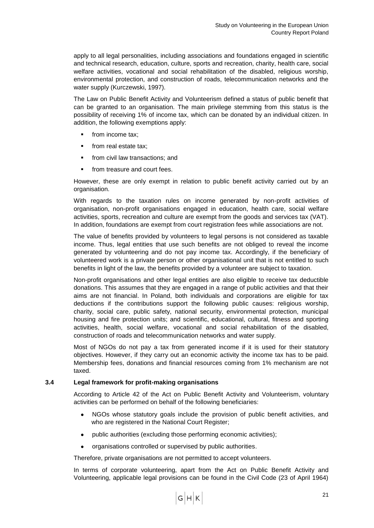apply to all legal personalities, including associations and foundations engaged in scientific and technical research, education, culture, sports and recreation, charity, health care, social welfare activities, vocational and social rehabilitation of the disabled, religious worship, environmental protection, and construction of roads, telecommunication networks and the water supply (Kurczewski, 1997).

The Law on Public Benefit Activity and Volunteerism defined a status of public benefit that can be granted to an organisation. The main privilege stemming from this status is the possibility of receiving 1% of income tax, which can be donated by an individual citizen. In addition, the following exemptions apply:

- **from income tax:**
- from real estate tax;
- **from civil law transactions; and**
- from treasure and court fees.

However, these are only exempt in relation to public benefit activity carried out by an organisation.

With regards to the taxation rules on income generated by non-profit activities of organisation, non-profit organisations engaged in education, health care, social welfare activities, sports, recreation and culture are exempt from the goods and services tax (VAT). In addition, foundations are exempt from court registration fees while associations are not.

The value of benefits provided by volunteers to legal persons is not considered as taxable income. Thus, legal entities that use such benefits are not obliged to reveal the income generated by volunteering and do not pay income tax. Accordingly, if the beneficiary of volunteered work is a private person or other organisational unit that is not entitled to such benefits in light of the law, the benefits provided by a volunteer are subject to taxation.

Non-profit organisations and other legal entities are also eligible to receive tax deductible donations. This assumes that they are engaged in a range of public activities and that their aims are not financial. In Poland, both individuals and corporations are eligible for tax deductions if the contributions support the following public causes: religious worship, charity, social care, public safety, national security, environmental protection, municipal housing and fire protection units; and scientific, educational, cultural, fitness and sporting activities, health, social welfare, vocational and social rehabilitation of the disabled, construction of roads and telecommunication networks and water supply.

Most of NGOs do not pay a tax from generated income if it is used for their statutory objectives. However, if they carry out an economic activity the income tax has to be paid. Membership fees, donations and financial resources coming from 1% mechanism are not taxed.

### <span id="page-22-0"></span>**3.4 Legal framework for profit-making organisations**

According to Article 42 of the Act on Public Benefit Activity and Volunteerism, voluntary activities can be performed on behalf of the following beneficiaries:

- NGOs whose statutory goals include the provision of public benefit activities, and  $\bullet$ who are registered in the National Court Register;
- public authorities (excluding those performing economic activities);  $\bullet$
- organisations controlled or supervised by public authorities.

Therefore, private organisations are not permitted to accept volunteers.

In terms of corporate volunteering, apart from the Act on Public Benefit Activity and Volunteering, applicable legal provisions can be found in the Civil Code (23 of April 1964)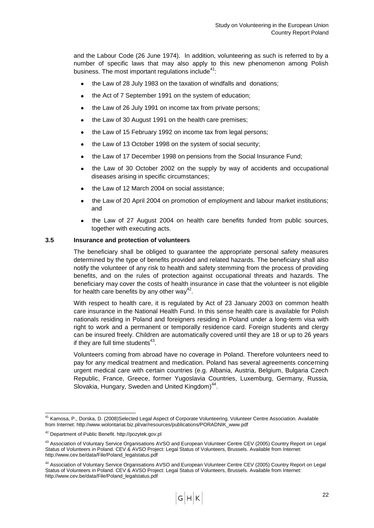and the Labour Code (26 June 1974). In addition, volunteering as such is referred to by a number of specific laws that may also apply to this new phenomenon among Polish business. The most important regulations include<sup>41</sup>:

- the Law of 28 July 1983 on the taxation of windfalls and donations;
- the Act of 7 September 1991 on the system of education;  $\bullet$
- the Law of 26 July 1991 on income tax from private persons;  $\bullet$
- the Law of 30 August 1991 on the health care premises;
- the Law of 15 February 1992 on income tax from legal persons;  $\bullet$
- the Law of 13 October 1998 on the system of social security;
- the Law of 17 December 1998 on pensions from the Social Insurance Fund;
- the Law of 30 October 2002 on the supply by way of accidents and occupational diseases arising in specific circumstances;
- the Law of 12 March 2004 on social assistance;
- the Law of 20 April 2004 on promotion of employment and labour market institutions; and
- the Law of 27 August 2004 on health care benefits funded from public sources, together with executing acts.

### <span id="page-23-0"></span>**3.5 Insurance and protection of volunteers**

The beneficiary shall be obliged to guarantee the appropriate personal safety measures determined by the type of benefits provided and related hazards. The beneficiary shall also notify the volunteer of any risk to health and safety stemming from the process of providing benefits, and on the rules of protection against occupational threats and hazards. The beneficiary may cover the costs of health insurance in case that the volunteer is not eligible for health care benefits by any other way<sup>42</sup>.

With respect to health care, it is regulated by Act of 23 January 2003 on common health care insurance in the National Health Fund. In this sense health care is available for Polish nationals residing in Poland and foreigners residing in Poland under a long-term visa with right to work and a permanent or temporally residence card. Foreign students and clergy can be insured freely. Children are automatically covered until they are 18 or up to 26 years if they are full time students $43$ .

Volunteers coming from abroad have no coverage in Poland. Therefore volunteers need to pay for any medical treatment and medication. Poland has several agreements concerning urgent medical care with certain countries (e.g. Albania, Austria, Belgium, Bulgaria Czech Republic, France, Greece, former Yugoslavia Countries, Luxemburg, Germany, Russia, Slovakia, Hungary, Sweden and United Kingdom)<sup>44</sup>.

1

<sup>&</sup>lt;sup>41</sup> Kamosa, P., Dorska, D. (2008)Selected Legal Aspect of Corporate Volunteering. Volunteer Centre Association. Available from Internet: http://www.wolontariat.biz.pl/var/resources/publications/PORADNIK\_www.pdf

<sup>42</sup> Department of Public Benefit. http://pozytek.gov.pl

<sup>43</sup> Association of Voluntary Service Organisations AVSO and European Volunteer Centre CEV (2005) Country Report on Legal Status of Volunteers in Poland. CEV & AVSO Project: Legal Status of Volunteers, Brussels. Available from Internet: http://www.cev.be/data/File/Poland\_legalstatus.pdf

<sup>44</sup> Association of Voluntary Service Organisations AVSO and European Volunteer Centre CEV (2005) Country Report on Legal Status of Volunteers in Poland. CEV & AVSO Project: Legal Status of Volunteers, Brussels. Available from Internet: http://www.cev.be/data/File/Poland\_legalstatus.pdf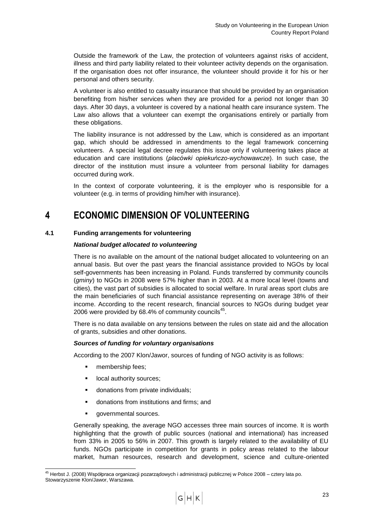Outside the framework of the Law, the protection of volunteers against risks of accident, illness and third party liability related to their volunteer activity depends on the organisation. If the organisation does not offer insurance, the volunteer should provide it for his or her personal and others security.

A volunteer is also entitled to casualty insurance that should be provided by an organisation benefiting from his/her services when they are provided for a period not longer than 30 days. After 30 days, a volunteer is covered by a national health care insurance system. The Law also allows that a volunteer can exempt the organisations entirely or partially from these obligations.

The liability insurance is not addressed by the Law, which is considered as an important gap, which should be addressed in amendments to the legal framework concerning volunteers. A special legal decree regulates this issue only if volunteering takes place at education and care institutions (*placówki opiekuńczo-wychowawcze*). In such case, the director of the institution must insure a volunteer from personal liability for damages occurred during work.

In the context of corporate volunteering, it is the employer who is responsible for a volunteer (e.g. in terms of providing him/her with insurance).

## <span id="page-24-0"></span>**4 ECONOMIC DIMENSION OF VOLUNTEERING**

## <span id="page-24-1"></span>**4.1 Funding arrangements for volunteering**

## *National budget allocated to volunteering*

There is no available on the amount of the national budget allocated to volunteering on an annual basis. But over the past years the financial assistance provided to NGOs by local self-governments has been increasing in Poland. Funds transferred by community councils (*gminy*) to NGOs in 2008 were 57% higher than in 2003. At a more local level (towns and cities), the vast part of subsidies is allocated to social welfare. In rural areas sport clubs are the main beneficiaries of such financial assistance representing on average 38% of their income. According to the recent research, financial sources to NGOs during budget year 2006 were provided by 68.4% of community councils<sup>45</sup>.

There is no data available on any tensions between the rules on state aid and the allocation of grants, subsidies and other donations.

## *Sources of funding for voluntary organisations*

According to the 2007 Klon/Jawor, sources of funding of NGO activity is as follows:

- **membership fees;**
- **-** local authority sources;
- **donations from private individuals;**
- donations from institutions and firms; and
- **governmental sources.**

1

Generally speaking, the average NGO accesses three main sources of income. It is worth highlighting that the growth of public sources (national and international) has increased from 33% in 2005 to 56% in 2007. This growth is largely related to the availability of EU funds. NGOs participate in competition for grants in policy areas related to the labour market, human resources, research and development, science and culture-oriented

<sup>&</sup>lt;sup>45</sup> Herbst J. (2008) Współpraca organizacji pozarządowych i administracji publicznej w Polsce 2008 – cztery lata po. Stowarzyszenie Klon/Jawor, Warszawa.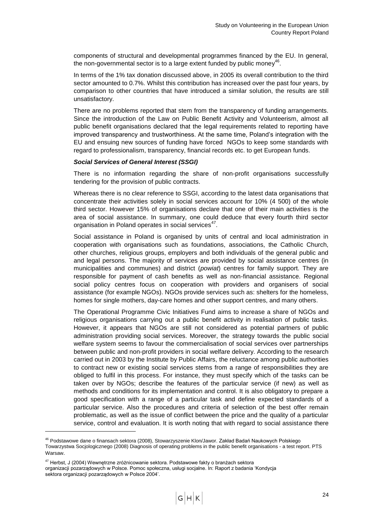components of structural and developmental programmes financed by the EU. In general, the non-governmental sector is to a large extent funded by public money<sup>46</sup>.

In terms of the 1% tax donation discussed above, in 2005 its overall contribution to the third sector amounted to 0.7%. Whilst this contribution has increased over the past four years, by comparison to other countries that have introduced a similar solution, the results are still unsatisfactory.

There are no problems reported that stem from the transparency of funding arrangements. Since the introduction of the Law on Public Benefit Activity and Volunteerism, almost all public benefit organisations declared that the legal requirements related to reporting have improved transparency and trustworthiness. At the same time, Poland"s integration with the EU and ensuing new sources of funding have forced NGOs to keep some standards with regard to professionalism, transparency, financial records etc. to get European funds.

## *Social Services of General Interest (SSGI)*

There is no information regarding the share of non-profit organisations successfully tendering for the provision of public contracts.

Whereas there is no clear reference to SSGI, according to the latest data organisations that concentrate their activities solely in social services account for 10% (4 500) of the whole third sector. However 15% of organisations declare that one of their main activities is the area of social assistance. In summary, one could deduce that every fourth third sector organisation in Poland operates in social services<sup>47</sup>.

Social assistance in Poland is organised by units of central and local administration in cooperation with organisations such as foundations, associations, the Catholic Church, other churches, religious groups, employers and both individuals of the general public and and legal persons. The majority of services are provided by social assistance centres (in municipalities and communes) and district (*powiat*) centres for family support. They are responsible for payment of cash benefits as well as non-financial assistance. Regional social policy centres focus on cooperation with providers and organisers of social assistance (for example NGOs). NGOs provide services such as: shelters for the homeless, homes for single mothers, day-care homes and other support centres, and many others.

The Operational Programme Civic Initiatives Fund aims to increase a share of NGOs and religious organisations carrying out a public benefit activity in realisation of public tasks. However, it appears that NGOs are still not considered as potential partners of public administration providing social services. Moreover, the strategy towards the public social welfare system seems to favour the commercialisation of social services over partnerships between public and non-profit providers in social welfare delivery. According to the research carried out in 2003 by the Institute by Public Affairs, the reluctance among public authorities to contract new or existing social services stems from a range of responsibilities they are obliged to fulfil in this process. For instance, they must specify which of the tasks can be taken over by NGOs; describe the features of the particular service (if new) as well as methods and conditions for its implementation and control. It is also obligatory to prepare a good specification with a range of a particular task and define expected standards of a particular service. Also the procedures and criteria of selection of the best offer remain problematic, as well as the issue of conflict between the price and the quality of a particular service, control and evaluation. It is worth noting that with regard to social assistance there

1

<sup>46</sup> Podstawowe dane o finansach sektora (2008), Stowarzyszenie Klon/Jawor. Zakład Badań Naukowych Polskiego Towarzystwa Socjologicznego (2008[\) Diagnosis of operating problems in the public benefit organisations -](http://209.85.227.132/translate_c?hl=en&sl=pl&u=http://www.pozytek.gov.pl/files/pozytek/sprawozdanie_z_ustawy/KBN/Raport%252015.XII.pdf&prev=/search%3Fq%3DDiagnoza%2Bproblem%25C3%25B3w%2Bfunkcjonowania%26hl%3Den%26sa%3DG&rurl=translate.google.co.uk&usg=ALkJrhi2rbYR2FuEgqTTtv1MdpAUmMtGMw) a test report. PTS [Warsaw](http://209.85.227.132/translate_c?hl=en&sl=pl&u=http://www.pozytek.gov.pl/files/pozytek/sprawozdanie_z_ustawy/KBN/Raport%252015.XII.pdf&prev=/search%3Fq%3DDiagnoza%2Bproblem%25C3%25B3w%2Bfunkcjonowania%26hl%3Den%26sa%3DG&rurl=translate.google.co.uk&usg=ALkJrhi2rbYR2FuEgqTTtv1MdpAUmMtGMw).

<sup>&</sup>lt;sup>47</sup> Herbst, J (2004) Wewnętrzne zróżnicowanie sektora. Podstawowe fakty o branżach sektora

organizacji pozarządowych w Polsce. Pomoc społeczna, usługi socjalne. In: Raport z badania "Kondycja sektora organizacji pozarządowych w Polsce 2004".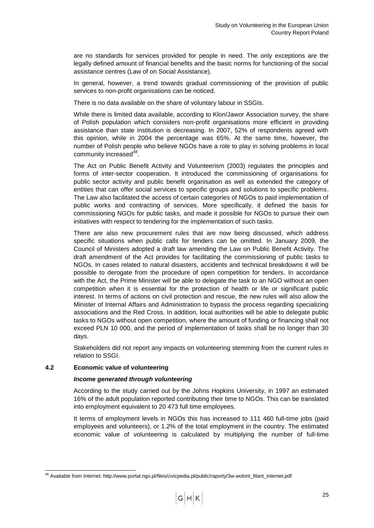are no standards for services provided for people in need. The only exceptions are the legally defined amount of financial benefits and the basic norms for functioning of the social assistance centres (Law of on Social Assistance).

In general, however, a trend towards gradual commissioning of the provision of public services to non-profit organisations can be noticed.

There is no data available on the share of voluntary labour in SSGIs.

While there is limited data available, according to Klon/Jawor Association survey, the share of Polish population which considers non-profit organisations more efficient in providing assistance than state institution is decreasing. In 2007, 52% of respondents agreed with this opinion, while in 2004 the percentage was 65%. At the same time, however, the number of Polish people who believe NGOs have a role to play in solving problems in local community increased<sup>48</sup>.

The Act on Public Benefit Activity and Volunteerism (2003) regulates the principles and forms of inter-sector cooperation. It introduced the commissioning of organisations for public sector activity and public benefit organisation as well as extended the category of entities that can offer social services to specific groups and solutions to specific problems. The Law also facilitated the access of certain categories of NGOs to paid implementation of public works and contracting of services. More specifically, it defined the basis for commissioning NGOs for public tasks, and made it possible for NGOs to pursue their own initiatives with respect to tendering for the implementation of such tasks.

There are also new procurement rules that are now being discussed, which address specific situations when public calls for tenders can be omitted. In January 2009, the Council of Ministers adopted a draft law amending the Law on Public Benefit Activity. The draft amendment of the Act provides for facilitating the commissioning of public tasks to NGOs. In cases related to natural disasters, accidents and technical breakdowns it will be possible to derogate from the procedure of open competition for tenders. In accordance with the Act, the Prime Minister will be able to delegate the task to an NGO without an open competition when it is essential for the protection of health or life or significant public interest. In terms of actions on civil protection and rescue, the new rules will also allow the Minister of Internal Affairs and Administration to bypass the process regarding specializing associations and the Red Cross. In addition, local authorities will be able to delegate public tasks to NGOs without open competition, where the amount of funding or financing shall not exceed PLN 10 000, and the period of implementation of tasks shall be no longer than 30 days.

Stakeholders did not report any impacts on volunteering stemming from the current rules in relation to SSGI.

## <span id="page-26-0"></span>**4.2 Economic value of volunteering**

1

### *Income generated through volunteering*

According to the study carried out by the Johns Hopkins University, in 1997 an estimated 16% of the adult population reported contributing their time to NGOs. This can be translated into employment equivalent to 20 473 full time employees.

It terms of employment levels in NGOs this has increased to 111 460 full-time jobs (paid employees and volunteers), or 1.2% of the total employment in the country. The estimated economic value of volunteering is calculated by multiplying the number of full-time

<sup>&</sup>lt;sup>48</sup> Available from Internet: http://www.portal.ngo.pl/files/civicpedia.pl/public/raporty/3w-wolont\_filant\_internet.pdf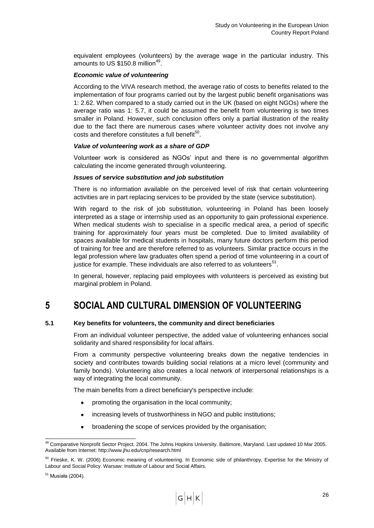equivalent employees (volunteers) by the average wage in the particular industry. This amounts to US  $$150.8$  million<sup>49</sup>.

## *Economic value of volunteering*

According to the VIVA research method, the average ratio of costs to benefits related to the implementation of four programs carried out by the largest public benefit organisations was 1: 2.62. When compared to a study carried out in the UK (based on eight NGOs) where the average ratio was 1: 5.7, it could be assumed the benefit from volunteering is two times smaller in Poland. However, such conclusion offers only a partial illustration of the reality due to the fact there are numerous cases where volunteer activity does not involve any costs and therefore constitutes a full benefit<sup>50</sup>.

## *Value of volunteering work as a share of GDP*

Volunteer work is considered as NGOs" input and there is no governmental algorithm calculating the income generated through volunteering.

## *Issues of service substitution and job substitution*

There is no information available on the perceived level of risk that certain volunteering activities are in part replacing services to be provided by the state (service substitution).

With regard to the risk of job substitution, volunteering in Poland has been loosely interpreted as a stage or internship used as an opportunity to gain professional experience. When medical students wish to specialise in a specific medical area, a period of specific training for approximately four years must be completed. Due to limited availability of spaces available for medical students in hospitals, many future doctors perform this period of training for free and are therefore referred to as volunteers. Similar practice occurs in the legal profession where law graduates often spend a period of time volunteering in a court of justice for example. These individuals are also referred to as volunteers<sup>51</sup>.

In general, however, replacing paid employees with volunteers is perceived as existing but marginal problem in Poland.

## <span id="page-27-0"></span>**5 SOCIAL AND CULTURAL DIMENSION OF VOLUNTEERING**

## <span id="page-27-1"></span>**5.1 Key benefits for volunteers, the community and direct beneficiaries**

From an individual volunteer perspective, the added value of volunteering enhances social solidarity and shared responsibility for local affairs.

From a community perspective volunteering breaks down the negative tendencies in society and contributes towards building social relations at a micro level (community and family bonds). Volunteering also creates a local network of interpersonal relationships is a way of integrating the local community.

The main benefits from a direct beneficiary's perspective include:

- promoting the organisation in the local community;
- increasing levels of trustworthiness in NGO and public institutions;  $\bullet$
- broadening the scope of services provided by the organisation;

<sup>1</sup> <sup>49</sup> Comparative Nonprofit Sector Project. 2004. The Johns Hopkins University. Baltimore, Maryland. Last updated 10 Mar 2005. Available from Internet: http://www.jhu.edu/cnp/research.html

<sup>&</sup>lt;sup>50</sup> Frieske, K. W. (2006) Economic meaning of volunteering. In Economic side of philanthropy, Expertise for the Ministry of Labour and Social Policy. Warsaw: Institute of Labour and Social Affairs.

<sup>51</sup> Musiała (2004).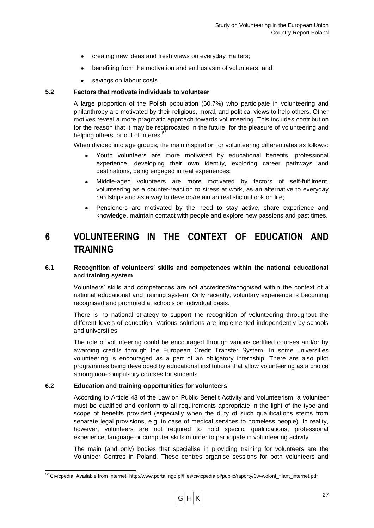- creating new ideas and fresh views on everyday matters;
- benefiting from the motivation and enthusiasm of volunteers; and  $\bullet$
- savings on labour costs.

## <span id="page-28-0"></span>**5.2 Factors that motivate individuals to volunteer**

A large proportion of the Polish population (60.7%) who participate in volunteering and philanthropy are motivated by their religious, moral, and political views to help others. Other motives reveal a more pragmatic approach towards volunteering. This includes contribution for the reason that it may be reciprocated in the future, for the pleasure of volunteering and helping others, or out of interest<sup>52</sup>.

When divided into age groups, the main inspiration for volunteering differentiates as follows:

- Youth volunteers are more motivated by educational benefits, professional experience, developing their own identity, exploring career pathways and destinations, being engaged in real experiences;
- Middle-aged volunteers are more motivated by factors of self-fulfilment,  $\bullet$ volunteering as a counter-reaction to stress at work, as an alternative to everyday hardships and as a way to develop/retain an realistic outlook on life;
- Pensioners are motivated by the need to stay active, share experience and  $\bullet$ knowledge, maintain contact with people and explore new passions and past times.

## <span id="page-28-1"></span>**6 VOLUNTEERING IN THE CONTEXT OF EDUCATION AND TRAINING**

## <span id="page-28-2"></span>**6.1 Recognition of volunteers' skills and competences within the national educational and training system**

Volunteers" skills and competences are not accredited/recognised within the context of a national educational and training system. Only recently, voluntary experience is becoming recognised and promoted at schools on individual basis.

There is no national strategy to support the recognition of volunteering throughout the different levels of education. Various solutions are implemented independently by schools and universities.

The role of volunteering could be encouraged through various certified courses and/or by awarding credits through the European Credit Transfer System. In some universities volunteering is encouraged as a part of an obligatory internship. There are also pilot programmes being developed by educational institutions that allow volunteering as a choice among non-compulsory courses for students.

### <span id="page-28-3"></span>**6.2 Education and training opportunities for volunteers**

1

According to Article 43 of the Law on Public Benefit Activity and Volunteerism, a volunteer must be qualified and conform to all requirements appropriate in the light of the type and scope of benefits provided (especially when the duty of such qualifications stems from separate legal provisions, e.g. in case of medical services to homeless people). In reality, however, volunteers are not required to hold specific qualifications, professional experience, language or computer skills in order to participate in volunteering activity.

The main (and only) bodies that specialise in providing training for volunteers are the Volunteer Centres in Poland. These centres organise sessions for both volunteers and

<sup>&</sup>lt;sup>52</sup> Civicpedia. Available from Internet: http://www.portal.ngo.pl/files/civicpedia.pl/public/raporty/3w-wolont\_filant\_internet.pdf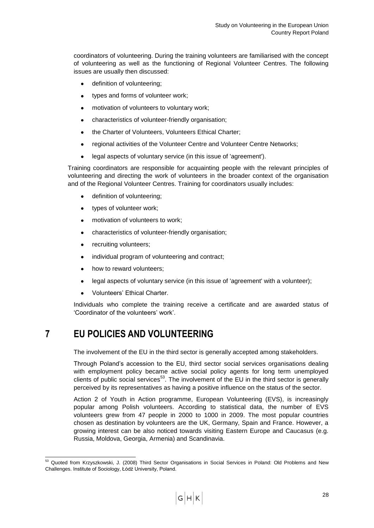coordinators of volunteering. During the training volunteers are familiarised with the concept of volunteering as well as the functioning of Regional Volunteer Centres. The following issues are usually then discussed:

- definition of volunteering;
- types and forms of volunteer work;  $\bullet$
- motivation of volunteers to voluntary work;  $\bullet$
- characteristics of volunteer-friendly organisation;
- the Charter of Volunteers, Volunteers Ethical Charter;  $\bullet$
- regional activities of the Volunteer Centre and Volunteer Centre Networks;  $\bullet$
- legal aspects of voluntary service (in this issue of 'agreement').  $\bullet$

Training coordinators are responsible for acquainting people with the relevant principles of volunteering and directing the work of volunteers in the broader context of the organisation and of the Regional Volunteer Centres. Training for coordinators usually includes:

- definition of volunteering;
- $\bullet$ types of volunteer work;
- motivation of volunteers to work;  $\bullet$
- characteristics of volunteer-friendly organisation;
- recruiting volunteers;
- individual program of volunteering and contract;
- how to reward volunteers;
- legal aspects of voluntary service (in this issue of 'agreement' with a volunteer);  $\bullet$
- Volunteers" Ethical Charter.  $\bullet$

Individuals who complete the training receive a certificate and are awarded status of 'Coordinator of the volunteers' work'.

## <span id="page-29-0"></span>**7 EU POLICIES AND VOLUNTEERING**

The involvement of the EU in the third sector is generally accepted among stakeholders.

Through Poland"s accession to the EU, third sector social services organisations dealing with employment policy became active social policy agents for long term unemployed clients of public social services<sup>53</sup>. The involvement of the EU in the third sector is generally perceived by its representatives as having a positive influence on the status of the sector.

Action 2 of Youth in Action programme, European Volunteering (EVS), is increasingly popular among Polish volunteers. According to statistical data, the number of EVS volunteers grew from 47 people in 2000 to 1000 in 2009. The most popular countries chosen as destination by volunteers are the UK, Germany, Spain and France. However, a growing interest can be also noticed towards visiting Eastern Europe and Caucasus (e.g. Russia, Moldova, Georgia, Armenia) and Scandinavia.

<sup>1</sup> <sup>53</sup> Quoted from Krzyszkowski, J. (2008) Third Sector Organisations in Social Services in Poland: Old Problems and New Challenges. Institute of Sociology, Łódź University, Poland.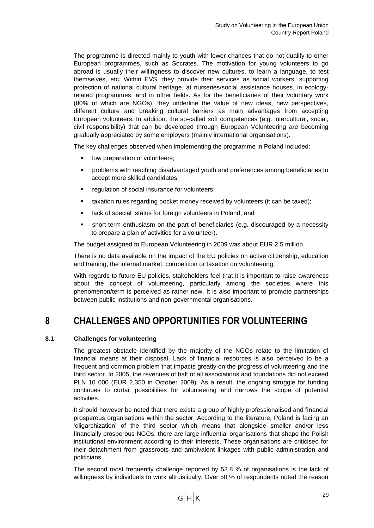The programme is directed mainly to youth with lower chances that do not qualify to other European programmes, such as Socrates. The motivation for young volunteers to go abroad is usually their willingness to discover new cultures, to learn a language, to test themselves, etc. Within EVS, they provide their services as social workers, supporting protection of national cultural heritage, at nurseries/social assistance houses, in ecologyrelated programmes, and in other fields. As for the beneficiaries of their voluntary work (80% of which are NGOs), they underline the value of new ideas, new perspectives, different culture and breaking cultural barriers as main advantages from accepting European volunteers. In addition, the so-called soft competences (e.g. intercultural, social, civil responsibility) that can be developed through European Volunteering are becoming gradually appreciated by some employers (mainly international organisations).

The key challenges observed when implementing the programme in Poland included:

- **IDOM Deparation of volunteers;**
- problems with reaching disadvantaged youth and preferences among beneficiaries to accept more skilled candidates;
- **F** regulation of social insurance for volunteers;
- **taxation rules regarding pocket money received by volunteers (it can be taxed);**
- lack of special status for foreign volunteers in Poland; and
- short-term enthusiasm on the part of beneficiaries (e.g. discouraged by a necessity to prepare a plan of activities for a volunteer).

The budget assigned to European Volunteering in 2009 was about EUR 2.5 million.

There is no data available on the impact of the EU policies on active citizenship, education and training, the internal market, competition or taxation on volunteering.

With regards to future EU policies, stakeholders feel that it is important to raise awareness about the concept of volunteering, particularly among the societies where this phenomenon/term is perceived as rather new. It is also important to promote partnerships between public institutions and non-governmental organisations.

## <span id="page-30-0"></span>**8 CHALLENGES AND OPPORTUNITIES FOR VOLUNTEERING**

## <span id="page-30-1"></span>**8.1 Challenges for volunteering**

The greatest obstacle identified by the majority of the NGOs relate to the limitation of financial means at their disposal. Lack of financial resources is also perceived to be a frequent and common problem that impacts greatly on the progress of volunteering and the third sector. In 2005, the revenues of half of all associations and foundations did not exceed PLN 10 000 (EUR 2,350 in October 2009). As a result, the ongoing struggle for funding continues to curtail possibilities for volunteering and narrows the scope of potential activities.

It should however be noted that there exists a group of highly professionalised and financial prosperous organisations within the sector. According to the literature, Poland is facing an "oligarchization" of the third sector which means that alongside smaller and/or less financially prosperous NGOs, there are large influential organisations that shape the Polish institutional environment according to their interests. These organisations are criticised for their detachment from grassroots and ambivalent linkages with public administration and politicians.

The second most frequently challenge reported by 53.8 % of organisations is the lack of willingness by individuals to work altruistically. Over 50 % of respondents noted the reason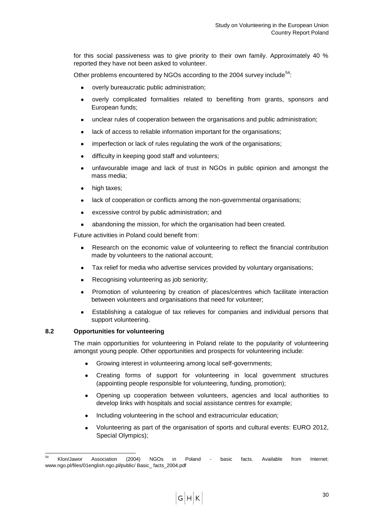for this social passiveness was to give priority to their own family. Approximately 40 % reported they have not been asked to volunteer.

Other problems encountered by NGOs according to the 2004 survey include<sup>54</sup>:

- overly bureaucratic public administration;
- overly complicated formalities related to benefiting from grants, sponsors and European funds;
- unclear rules of cooperation between the organisations and public administration;
- lack of access to reliable information important for the organisations;
- imperfection or lack of rules regulating the work of the organisations;
- difficulty in keeping good staff and volunteers;
- unfavourable image and lack of trust in NGOs in public opinion and amongst the  $\bullet$ mass media;
- high taxes;
- lack of cooperation or conflicts among the non-governmental organisations;
- excessive control by public administration; and
- abandoning the mission, for which the organisation had been created.  $\bullet$

Future activities in Poland could benefit from:

- Research on the economic value of volunteering to reflect the financial contribution made by volunteers to the national account;
- Tax relief for media who advertise services provided by voluntary organisations;
- Recognising volunteering as job seniority;
- Promotion of volunteering by creation of places/centres which facilitate interaction between volunteers and organisations that need for volunteer;
- Establishing a catalogue of tax relieves for companies and individual persons that support volunteering.

### <span id="page-31-0"></span>**8.2 Opportunities for volunteering**

The main opportunities for volunteering in Poland relate to the popularity of volunteering amongst young people. Other opportunities and prospects for volunteering include:

- Growing interest in volunteering among local self-governments;
- Creating forms of support for volunteering in local government structures  $\bullet$ (appointing people responsible for volunteering, funding, promotion);
- Opening up cooperation between volunteers, agencies and local authorities to  $\bullet$ develop links with hospitals and social assistance centres for example;
- Including volunteering in the school and extracurricular education;  $\bullet$
- Volunteering as part of the organisation of sports and cultural events: EURO 2012, Special Olympics);

<sup>54</sup> <sup>54</sup> Klon/Jawor Association (2004) NGOs in Poland - basic facts. Available from Internet: www.ngo.pl/files/01english.ngo.pl/public/ Basic\_ facts\_2004.pdf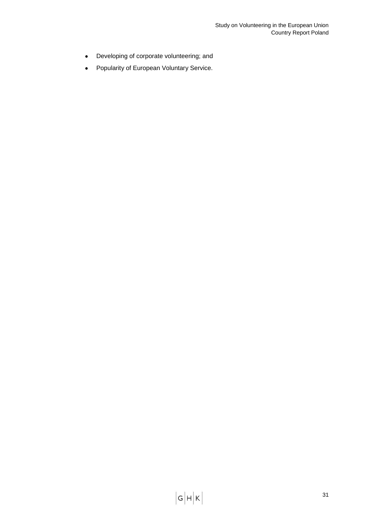- Developing of corporate volunteering; and  $\bullet$
- Popularity of European Voluntary Service. $\bullet$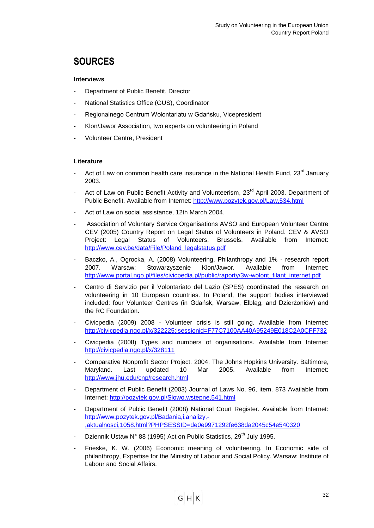## <span id="page-33-0"></span>**SOURCES**

## **Interviews**

- Department of Public Benefit, Director
- National Statistics Office (GUS), Coordinator
- Regionalnego Centrum Wolontariatu w Gdańsku, Vicepresident
- Klon/Jawor Association, two experts on volunteering in Poland
- Volunteer Centre, President

## **Literature**

- Act of Law on common health care insurance in the National Health Fund,  $23^{rd}$  January 2003.
- Act of Law on Public Benefit Activity and Volunteerism, 23<sup>rd</sup> April 2003. Department of Public Benefit. Available from Internet:<http://www.pozytek.gov.pl/Law,534.html>
- Act of Law on social assistance, 12th March 2004.
- Association of Voluntary Service Organisations AVSO and European Volunteer Centre CEV (2005) Country Report on Legal Status of Volunteers in Poland. CEV & AVSO Project: Legal Status of Volunteers, Brussels. Available from Internet: [http://www.cev.be/data/File/Poland\\_legalstatus.pdf](http://www.cev.be/data/File/Poland_legalstatus.pdf)
- Baczko, A., Ogrocka, A. (2008) Volunteering, Philanthropy and 1% research report 2007. Warsaw: Stowarzyszenie Klon/Jawor. Available from Internet: [http://www.portal.ngo.pl/files/civicpedia.pl/public/raporty/3w-wolont\\_filant\\_internet.pdf](http://www.portal.ngo.pl/files/civicpedia.pl/public/raporty/3w-wolont_filant_internet.pdf)
- Centro di Servizio per il Volontariato del Lazio (SPES) coordinated the research on volunteering in 10 European countries. In Poland, the support bodies interviewed included: four Volunteer Centres (in Gdańsk, Warsaw, Elbląg, and Dzierżoniów) and the RC Foundation.
- Civicpedia (2009) 2008 Volunteer crisis is still going. Available from Internet: <http://civicpedia.ngo.pl/x/322225;jsessionid=F77C7100AA40A95249E018C2A0CFF732>
- Civicpedia (2008) Types and numbers of organisations. Available from Internet: <http://civicpedia.ngo.pl/x/328111>
- Comparative Nonprofit Sector Project. 2004. The Johns Hopkins University. Baltimore, Maryland. Last updated 10 Mar 2005. Available from Internet: <http://www.jhu.edu/cnp/research.html>
- Department of Public Benefit (2003) Journal of Laws No. 96, item. 873 Available from Internet:<http://pozytek.gov.pl/Slowo,wstepne,541.html>
- Department of Public Benefit (2008) National Court Register. Available from Internet: [http://www.pozytek.gov.pl/Badania,i,analizy,-](http://www.pozytek.gov.pl/Badania,i,analizy,-,aktualnosci,1058.html?PHPSESSID=de0e9971292fe638da2045c54e540320) [,aktualnosci,1058.html?PHPSESSID=de0e9971292fe638da2045c54e540320](http://www.pozytek.gov.pl/Badania,i,analizy,-,aktualnosci,1058.html?PHPSESSID=de0e9971292fe638da2045c54e540320)
- Dziennik Ustaw N° 88 (1995) Act on Public Statistics. 29<sup>th</sup> July 1995.
- Frieske, K. W. (2006) Economic meaning of volunteering. In Economic side of philanthropy, Expertise for the Ministry of Labour and Social Policy. Warsaw: Institute of Labour and Social Affairs.